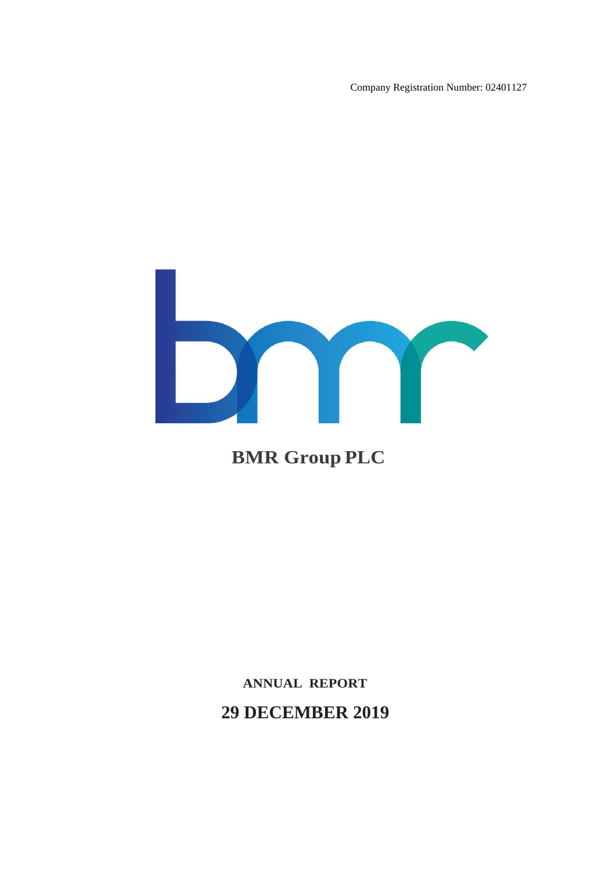Company Registration Number: 02401127



# **BMR Group PLC**

# **ANNUAL REPORT 29 DECEMBER 2019**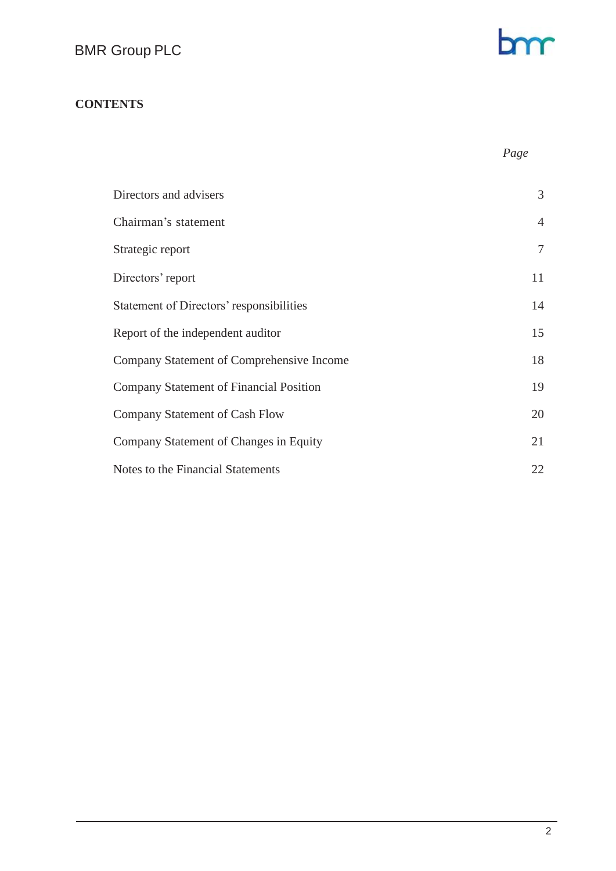# bm

# **CONTENTS**

 *Page*

| Directors and advisers                    | 3              |
|-------------------------------------------|----------------|
| Chairman's statement                      | $\overline{4}$ |
| Strategic report                          | $\tau$         |
| Directors' report                         | 11             |
| Statement of Directors' responsibilities  | 14             |
| Report of the independent auditor         | 15             |
| Company Statement of Comprehensive Income | 18             |
| Company Statement of Financial Position   | 19             |
| Company Statement of Cash Flow            | 20             |
| Company Statement of Changes in Equity    | 21             |
| Notes to the Financial Statements         | 22             |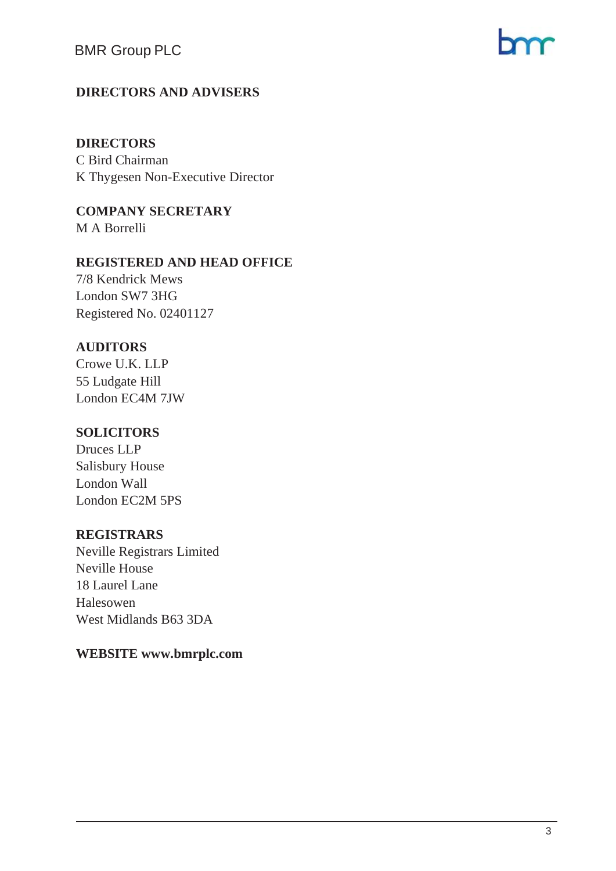# **DIRECTORS AND ADVISERS**

# **DIRECTORS**

C Bird Chairman K Thygesen Non-Executive Director

**COMPANY SECRETARY**  M A Borrelli

#### **REGISTERED AND HEAD OFFICE**

7/8 Kendrick Mews London SW7 3HG Registered No. 02401127

# **AUDITORS**

Crowe U.K. LLP 55 Ludgate Hill London EC4M 7JW

# **SOLICITORS**

Druces LLP Salisbury House London Wall London EC2M 5PS

# **REGISTRARS**

Neville Registrars Limited Neville House 18 Laurel Lane Halesowen West Midlands B63 3DA

# **WEBSITE www.bmrplc.com**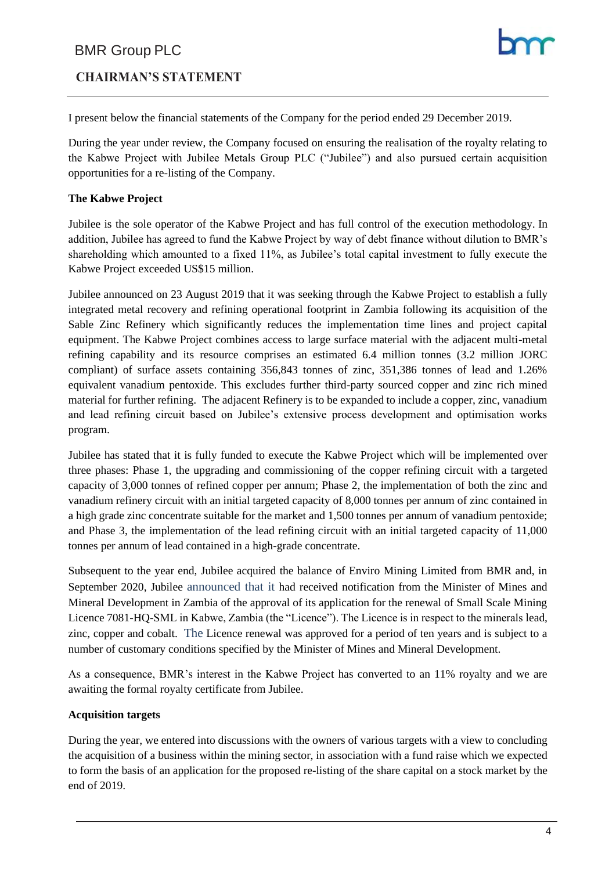# **CHAIRMAN'S STATEMENT**

I present below the financial statements of the Company for the period ended 29 December 2019.

During the year under review, the Company focused on ensuring the realisation of the royalty relating to the Kabwe Project with Jubilee Metals Group PLC ("Jubilee") and also pursued certain acquisition opportunities for a re-listing of the Company.

#### **The Kabwe Project**

Jubilee is the sole operator of the Kabwe Project and has full control of the execution methodology. In addition, Jubilee has agreed to fund the Kabwe Project by way of debt finance without dilution to BMR's shareholding which amounted to a fixed 11%, as Jubilee's total capital investment to fully execute the Kabwe Project exceeded US\$15 million.

Jubilee announced on 23 August 2019 that it was seeking through the Kabwe Project to establish a fully integrated metal recovery and refining operational footprint in Zambia following its acquisition of the Sable Zinc Refinery which significantly reduces the implementation time lines and project capital equipment. The Kabwe Project combines access to large surface material with the adjacent multi-metal refining capability and its resource comprises an estimated 6.4 million tonnes (3.2 million JORC compliant) of surface assets containing 356,843 tonnes of zinc, 351,386 tonnes of lead and 1.26% equivalent vanadium pentoxide. This excludes further third-party sourced copper and zinc rich mined material for further refining. The adjacent Refinery is to be expanded to include a copper, zinc, vanadium and lead refining circuit based on Jubilee's extensive process development and optimisation works program.

Jubilee has stated that it is fully funded to execute the Kabwe Project which will be implemented over three phases: Phase 1, the upgrading and commissioning of the copper refining circuit with a targeted capacity of 3,000 tonnes of refined copper per annum; Phase 2, the implementation of both the zinc and vanadium refinery circuit with an initial targeted capacity of 8,000 tonnes per annum of zinc contained in a high grade zinc concentrate suitable for the market and 1,500 tonnes per annum of vanadium pentoxide; and Phase 3, the implementation of the lead refining circuit with an initial targeted capacity of 11,000 tonnes per annum of lead contained in a high-grade concentrate.

Subsequent to the year end, Jubilee acquired the balance of Enviro Mining Limited from BMR and, in September 2020, Jubilee announced that it had received notification from the Minister of Mines and Mineral Development in Zambia of the approval of its application for the renewal of Small Scale Mining Licence 7081-HQ-SML in Kabwe, Zambia (the "Licence"). The Licence is in respect to the minerals lead, zinc, copper and cobalt. The Licence renewal was approved for a period of ten years and is subject to a number of customary conditions specified by the Minister of Mines and Mineral Development.

As a consequence, BMR's interest in the Kabwe Project has converted to an 11% royalty and we are awaiting the formal royalty certificate from Jubilee.

#### **Acquisition targets**

During the year, we entered into discussions with the owners of various targets with a view to concluding the acquisition of a business within the mining sector, in association with a fund raise which we expected to form the basis of an application for the proposed re-listing of the share capital on a stock market by the end of 2019.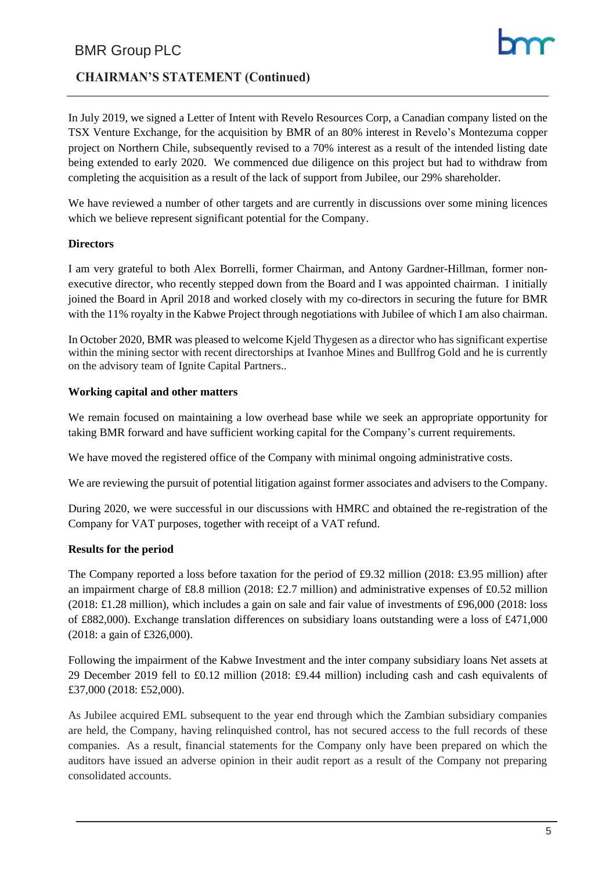# **CHAIRMAN'S STATEMENT (Continued)**

In July 2019, we signed a Letter of Intent with Revelo Resources Corp, a Canadian company listed on the TSX Venture Exchange, for the acquisition by BMR of an 80% interest in Revelo's Montezuma copper project on Northern Chile, subsequently revised to a 70% interest as a result of the intended listing date being extended to early 2020. We commenced due diligence on this project but had to withdraw from completing the acquisition as a result of the lack of support from Jubilee, our 29% shareholder.

We have reviewed a number of other targets and are currently in discussions over some mining licences which we believe represent significant potential for the Company.

#### **Directors**

I am very grateful to both Alex Borrelli, former Chairman, and Antony Gardner-Hillman, former nonexecutive director, who recently stepped down from the Board and I was appointed chairman. I initially joined the Board in April 2018 and worked closely with my co-directors in securing the future for BMR with the 11% royalty in the Kabwe Project through negotiations with Jubilee of which I am also chairman.

In October 2020, BMR was pleased to welcome Kjeld Thygesen as a director who has significant expertise within the mining sector with recent directorships at Ivanhoe Mines and Bullfrog Gold and he is currently on the advisory team of Ignite Capital Partners..

#### **Working capital and other matters**

We remain focused on maintaining a low overhead base while we seek an appropriate opportunity for taking BMR forward and have sufficient working capital for the Company's current requirements.

We have moved the registered office of the Company with minimal ongoing administrative costs.

We are reviewing the pursuit of potential litigation against former associates and advisers to the Company.

During 2020, we were successful in our discussions with HMRC and obtained the re-registration of the Company for VAT purposes, together with receipt of a VAT refund.

#### **Results for the period**

The Company reported a loss before taxation for the period of £9.32 million (2018: £3.95 million) after an impairment charge of £8.8 million (2018: £2.7 million) and administrative expenses of £0.52 million (2018: £1.28 million), which includes a gain on sale and fair value of investments of £96,000 (2018: loss of £882,000). Exchange translation differences on subsidiary loans outstanding were a loss of £471,000 (2018: a gain of £326,000).

Following the impairment of the Kabwe Investment and the inter company subsidiary loans Net assets at 29 December 2019 fell to £0.12 million (2018: £9.44 million) including cash and cash equivalents of £37,000 (2018: £52,000).

As Jubilee acquired EML subsequent to the year end through which the Zambian subsidiary companies are held, the Company, having relinquished control, has not secured access to the full records of these companies. As a result, financial statements for the Company only have been prepared on which the auditors have issued an adverse opinion in their audit report as a result of the Company not preparing consolidated accounts.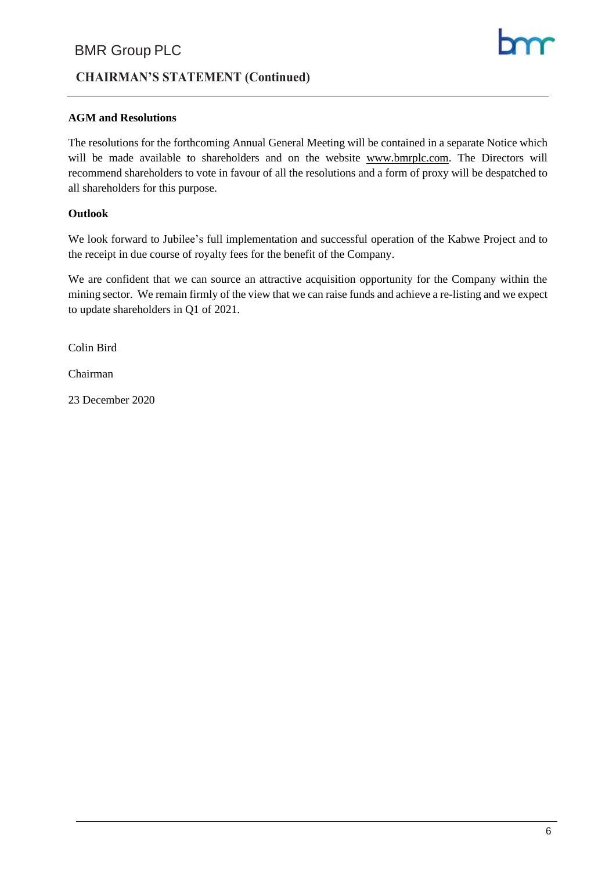# **CHAIRMAN'S STATEMENT (Continued)**

#### **AGM and Resolutions**

The resolutions for the forthcoming Annual General Meeting will be contained in a separate Notice which will be made available to shareholders and on the website [www.bmrplc.com.](http://www.bmrplc.com/) The Directors will recommend shareholders to vote in favour of all the resolutions and a form of proxy will be despatched to all shareholders for this purpose.

#### **Outlook**

We look forward to Jubilee's full implementation and successful operation of the Kabwe Project and to the receipt in due course of royalty fees for the benefit of the Company.

We are confident that we can source an attractive acquisition opportunity for the Company within the mining sector. We remain firmly of the view that we can raise funds and achieve a re-listing and we expect to update shareholders in Q1 of 2021.

Colin Bird

Chairman

23 December 2020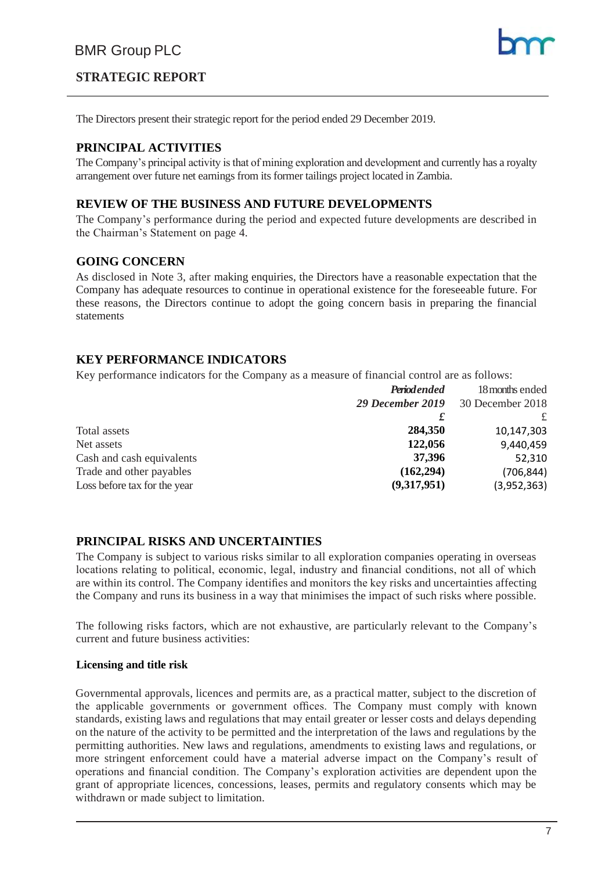# **STRATEGIC REPORT**

The Directors present their strategic report for the period ended 29 December 2019.

#### **PRINCIPAL ACTIVITIES**

The Company's principal activity is that of mining exploration and development and currently has a royalty arrangement over future net earnings from its former tailings project located in Zambia.

#### **REVIEW OF THE BUSINESS AND FUTURE DEVELOPMENTS**

The Company's performance during the period and expected future developments are described in the Chairman's Statement on page 4.

#### **GOING CONCERN**

As disclosed in Note 3, after making enquiries, the Directors have a reasonable expectation that the Company has adequate resources to continue in operational existence for the foreseeable future. For these reasons, the Directors continue to adopt the going concern basis in preparing the financial statements

#### **KEY PERFORMANCE INDICATORS**

Key performance indicators for the Company as a measure of financial control are as follows:

|                              | <b>Periodended</b> | 18 months ended  |
|------------------------------|--------------------|------------------|
|                              | 29 December 2019   | 30 December 2018 |
|                              |                    |                  |
| Total assets                 | 284,350            | 10,147,303       |
| Net assets                   | 122,056            | 9,440,459        |
| Cash and cash equivalents    | 37,396             | 52,310           |
| Trade and other payables     | (162, 294)         | (706, 844)       |
| Loss before tax for the year | (9,317,951)        | (3,952,363)      |

#### **PRINCIPAL RISKS AND UNCERTAINTIES**

The Company is subject to various risks similar to all exploration companies operating in overseas locations relating to political, economic, legal, industry and financial conditions, not all of which are within its control. The Company identifies and monitors the key risks and uncertainties affecting the Company and runs its business in a way that minimises the impact of such risks where possible.

The following risks factors, which are not exhaustive, are particularly relevant to the Company's current and future business activities:

#### **Licensing and title risk**

Governmental approvals, licences and permits are, as a practical matter, subject to the discretion of the applicable governments or government offices. The Company must comply with known standards, existing laws and regulations that may entail greater or lesser costs and delays depending on the nature of the activity to be permitted and the interpretation of the laws and regulations by the permitting authorities. New laws and regulations, amendments to existing laws and regulations, or more stringent enforcement could have a material adverse impact on the Company's result of operations and financial condition. The Company's exploration activities are dependent upon the grant of appropriate licences, concessions, leases, permits and regulatory consents which may be withdrawn or made subject to limitation.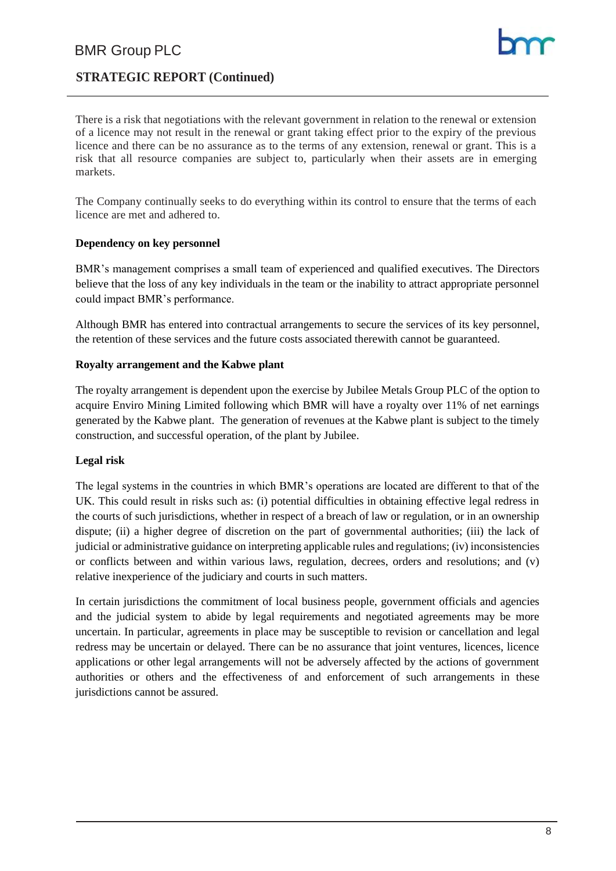# **STRATEGIC REPORT (Continued)**

There is a risk that negotiations with the relevant government in relation to the renewal or extension of a licence may not result in the renewal or grant taking effect prior to the expiry of the previous licence and there can be no assurance as to the terms of any extension, renewal or grant. This is a risk that all resource companies are subject to, particularly when their assets are in emerging markets.

The Company continually seeks to do everything within its control to ensure that the terms of each licence are met and adhered to.

#### **Dependency on key personnel**

BMR's management comprises a small team of experienced and qualified executives. The Directors believe that the loss of any key individuals in the team or the inability to attract appropriate personnel could impact BMR's performance.

Although BMR has entered into contractual arrangements to secure the services of its key personnel, the retention of these services and the future costs associated therewith cannot be guaranteed.

#### **Royalty arrangement and the Kabwe plant**

The royalty arrangement is dependent upon the exercise by Jubilee Metals Group PLC of the option to acquire Enviro Mining Limited following which BMR will have a royalty over 11% of net earnings generated by the Kabwe plant. The generation of revenues at the Kabwe plant is subject to the timely construction, and successful operation, of the plant by Jubilee.

#### **Legal risk**

The legal systems in the countries in which BMR's operations are located are different to that of the UK. This could result in risks such as: (i) potential difficulties in obtaining effective legal redress in the courts of such jurisdictions, whether in respect of a breach of law or regulation, or in an ownership dispute; (ii) a higher degree of discretion on the part of governmental authorities; (iii) the lack of judicial or administrative guidance on interpreting applicable rules and regulations; (iv) inconsistencies or conflicts between and within various laws, regulation, decrees, orders and resolutions; and (v) relative inexperience of the judiciary and courts in such matters.

In certain jurisdictions the commitment of local business people, government officials and agencies and the judicial system to abide by legal requirements and negotiated agreements may be more uncertain. In particular, agreements in place may be susceptible to revision or cancellation and legal redress may be uncertain or delayed. There can be no assurance that joint ventures, licences, licence applications or other legal arrangements will not be adversely affected by the actions of government authorities or others and the effectiveness of and enforcement of such arrangements in these jurisdictions cannot be assured.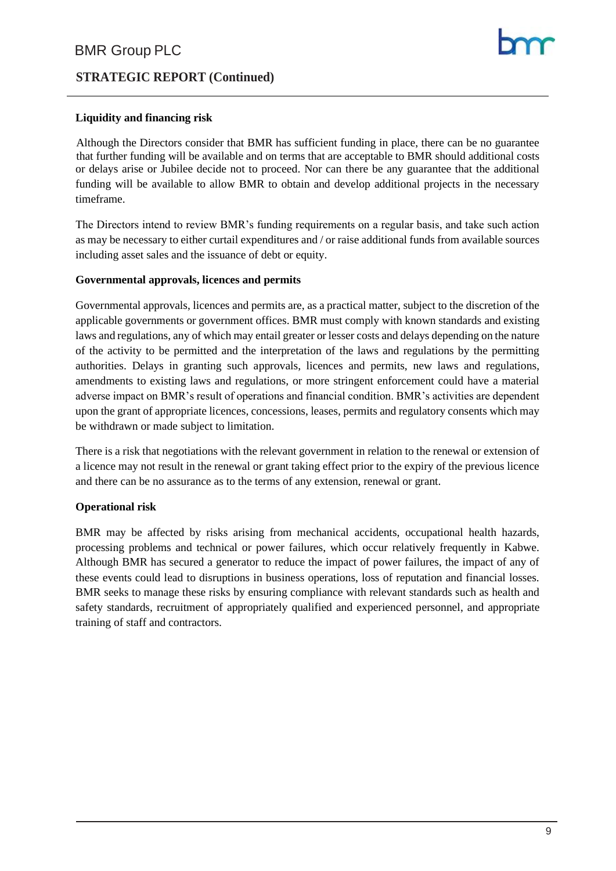# **STRATEGIC REPORT (Continued)**

#### **Liquidity and financing risk**

Although the Directors consider that BMR has sufficient funding in place, there can be no guarantee that further funding will be available and on terms that are acceptable to BMR should additional costs or delays arise or Jubilee decide not to proceed. Nor can there be any guarantee that the additional funding will be available to allow BMR to obtain and develop additional projects in the necessary timeframe.

The Directors intend to review BMR's funding requirements on a regular basis, and take such action as may be necessary to either curtail expenditures and / or raise additional funds from available sources including asset sales and the issuance of debt or equity.

#### **Governmental approvals, licences and permits**

Governmental approvals, licences and permits are, as a practical matter, subject to the discretion of the applicable governments or government offices. BMR must comply with known standards and existing laws and regulations, any of which may entail greater or lesser costs and delays depending on the nature of the activity to be permitted and the interpretation of the laws and regulations by the permitting authorities. Delays in granting such approvals, licences and permits, new laws and regulations, amendments to existing laws and regulations, or more stringent enforcement could have a material adverse impact on BMR's result of operations and financial condition. BMR's activities are dependent upon the grant of appropriate licences, concessions, leases, permits and regulatory consents which may be withdrawn or made subject to limitation.

There is a risk that negotiations with the relevant government in relation to the renewal or extension of a licence may not result in the renewal or grant taking effect prior to the expiry of the previous licence and there can be no assurance as to the terms of any extension, renewal or grant.

#### **Operational risk**

BMR may be affected by risks arising from mechanical accidents, occupational health hazards, processing problems and technical or power failures, which occur relatively frequently in Kabwe. Although BMR has secured a generator to reduce the impact of power failures, the impact of any of these events could lead to disruptions in business operations, loss of reputation and financial losses. BMR seeks to manage these risks by ensuring compliance with relevant standards such as health and safety standards, recruitment of appropriately qualified and experienced personnel, and appropriate training of staff and contractors.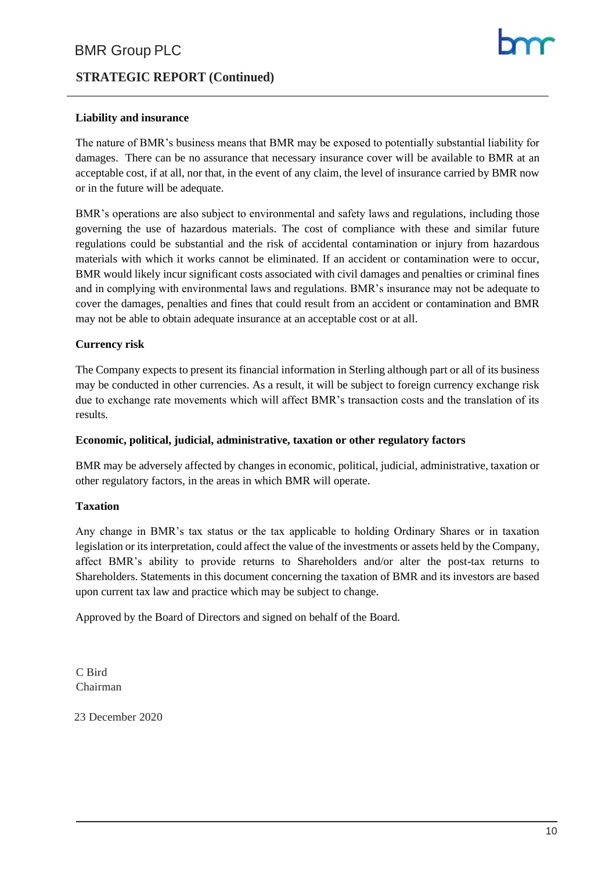# **STRATEGIC REPORT (Continued)**

#### **Liability and insurance**

The nature of BMR's business means that BMR may be exposed to potentially substantial liability for damages. There can be no assurance that necessary insurance cover will be available to BMR at an acceptable cost, if at all, nor that, in the event of any claim, the level of insurance carried by BMR now or in the future will be adequate.

BMR's operations are also subject to environmental and safety laws and regulations, including those governing the use of hazardous materials. The cost of compliance with these and similar future regulations could be substantial and the risk of accidental contamination or injury from hazardous materials with which it works cannot be eliminated. If an accident or contamination were to occur, BMR would likely incur significant costs associated with civil damages and penalties or criminal fines and in complying with environmental laws and regulations. BMR's insurance may not be adequate to cover the damages, penalties and fines that could result from an accident or contamination and BMR may not be able to obtain adequate insurance at an acceptable cost or at all.

#### **Currency risk**

The Company expects to present its financial information in Sterling although part or all of its business may be conducted in other currencies. As a result, it will be subject to foreign currency exchange risk due to exchange rate movements which will affect BMR's transaction costs and the translation of its results.

#### **Economic, political, judicial, administrative, taxation or other regulatory factors**

BMR may be adversely affected by changes in economic, political, judicial, administrative, taxation or other regulatory factors, in the areas in which BMR will operate.

#### **Taxation**

Any change in BMR's tax status or the tax applicable to holding Ordinary Shares or in taxation legislation or its interpretation, could affect the value of the investments or assets held by the Company, affect BMR's ability to provide returns to Shareholders and/or alter the post-tax returns to Shareholders. Statements in this document concerning the taxation of BMR and its investors are based upon current tax law and practice which may be subject to change.

Approved by the Board of Directors and signed on behalf of the Board.

C Bird Chairman

23 December 2020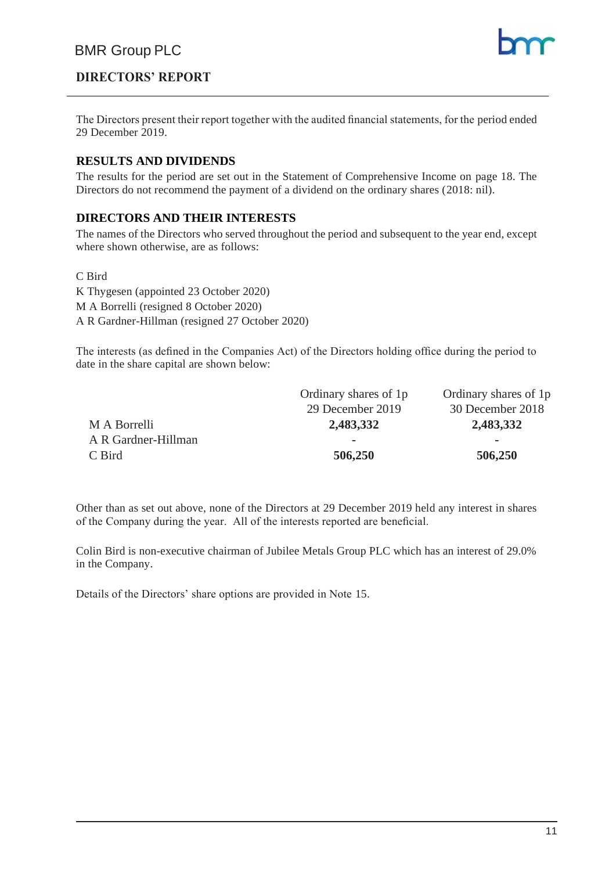# **DIRECTORS' REPORT**

The Directors present their report together with the audited financial statements, for the period ended 29 December 2019.

#### **RESULTS AND DIVIDENDS**

The results for the period are set out in the Statement of Comprehensive Income on page 18. The Directors do not recommend the payment of a dividend on the ordinary shares (2018: nil).

#### **DIRECTORS AND THEIR INTERESTS**

The names of the Directors who served throughout the period and subsequent to the year end, except where shown otherwise, are as follows:

#### C Bird

K Thygesen (appointed 23 October 2020) M A Borrelli (resigned 8 October 2020) A R Gardner-Hillman (resigned 27 October 2020)

The interests (as defined in the Companies Act) of the Directors holding office during the period to date in the share capital are shown below:

|                     | Ordinary shares of 1p | Ordinary shares of 1p    |
|---------------------|-----------------------|--------------------------|
|                     | 29 December 2019      | 30 December 2018         |
| M A Borrelli        | 2,483,332             | 2,483,332                |
| A R Gardner-Hillman | -                     | $\overline{\phantom{a}}$ |
| C Bird              | 506,250               | 506,250                  |

Other than as set out above, none of the Directors at 29 December 2019 held any interest in shares of the Company during the year. All of the interests reported are beneficial.

Colin Bird is non-executive chairman of Jubilee Metals Group PLC which has an interest of 29.0% in the Company.

Details of the Directors' share options are provided in Note 15.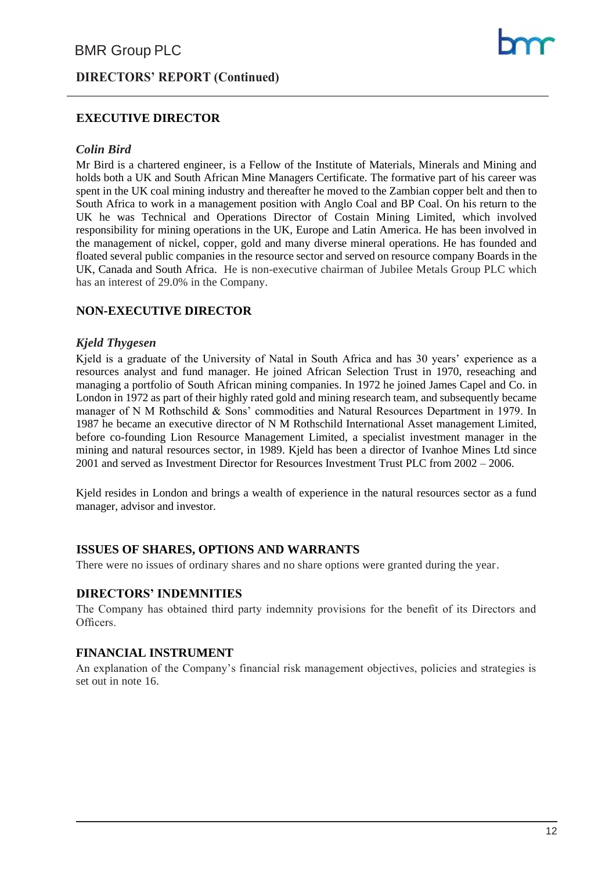# **DIRECTORS' REPORT (Continued)**

#### **EXECUTIVE DIRECTOR**

#### *Colin Bird*

Mr Bird is a chartered engineer, is a Fellow of the Institute of Materials, Minerals and Mining and holds both a UK and South African Mine Managers Certificate. The formative part of his career was spent in the UK coal mining industry and thereafter he moved to the Zambian copper belt and then to South Africa to work in a management position with Anglo Coal and BP Coal. On his return to the UK he was Technical and Operations Director of Costain Mining Limited, which involved responsibility for mining operations in the UK, Europe and Latin America. He has been involved in the management of nickel, copper, gold and many diverse mineral operations. He has founded and floated several public companies in the resource sector and served on resource company Boards in the UK, Canada and South Africa. He is non-executive chairman of Jubilee Metals Group PLC which has an interest of 29.0% in the Company.

#### **NON-EXECUTIVE DIRECTOR**

#### *Kjeld Thygesen*

Kjeld is a graduate of the University of Natal in South Africa and has 30 years' experience as a resources analyst and fund manager. He joined African Selection Trust in 1970, reseaching and managing a portfolio of South African mining companies. In 1972 he joined James Capel and Co. in London in 1972 as part of their highly rated gold and mining research team, and subsequently became manager of N M Rothschild & Sons' commodities and Natural Resources Department in 1979. In 1987 he became an executive director of N M Rothschild International Asset management Limited, before co-founding Lion Resource Management Limited, a specialist investment manager in the mining and natural resources sector, in 1989. Kjeld has been a director of Ivanhoe Mines Ltd since 2001 and served as Investment Director for Resources Investment Trust PLC from 2002 – 2006.

Kjeld resides in London and brings a wealth of experience in the natural resources sector as a fund manager, advisor and investor.

#### **ISSUES OF SHARES, OPTIONS AND WARRANTS**

There were no issues of ordinary shares and no share options were granted during the year.

#### **DIRECTORS' INDEMNITIES**

The Company has obtained third party indemnity provisions for the benefit of its Directors and Officers.

#### **FINANCIAL INSTRUMENT**

An explanation of the Company's financial risk management objectives, policies and strategies is set out in note 16.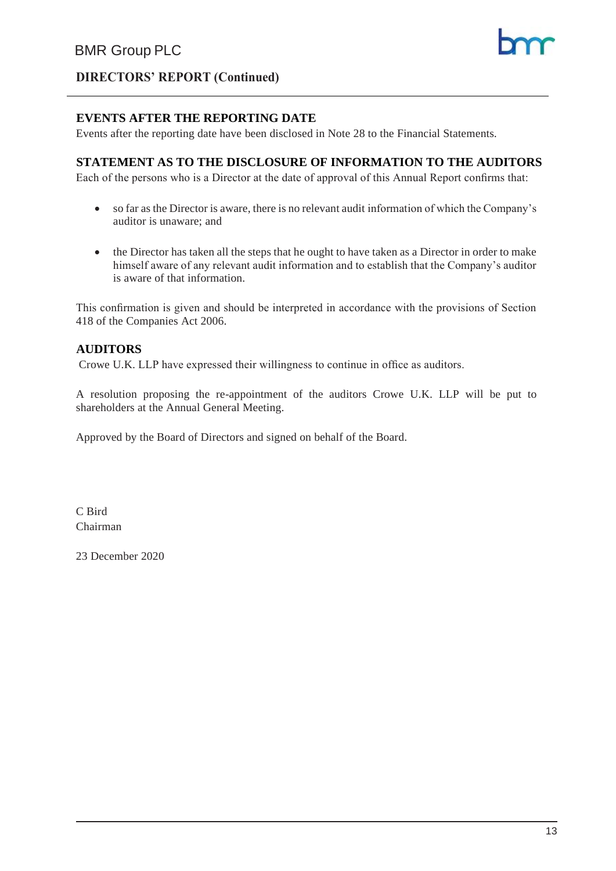

# **DIRECTORS' REPORT (Continued)**

#### **EVENTS AFTER THE REPORTING DATE**

Events after the reporting date have been disclosed in Note 28 to the Financial Statements.

#### **STATEMENT AS TO THE DISCLOSURE OF INFORMATION TO THE AUDITORS**

Each of the persons who is a Director at the date of approval of this Annual Report confirms that:

- so far as the Director is aware, there is no relevant audit information of which the Company's auditor is unaware; and
- the Director has taken all the steps that he ought to have taken as a Director in order to make himself aware of any relevant audit information and to establish that the Company's auditor is aware of that information.

This confirmation is given and should be interpreted in accordance with the provisions of Section 418 of the Companies Act 2006.

#### **AUDITORS**

Crowe U.K. LLP have expressed their willingness to continue in office as auditors.

A resolution proposing the re-appointment of the auditors Crowe U.K. LLP will be put to shareholders at the Annual General Meeting.

Approved by the Board of Directors and signed on behalf of the Board.

C Bird Chairman

23 December 2020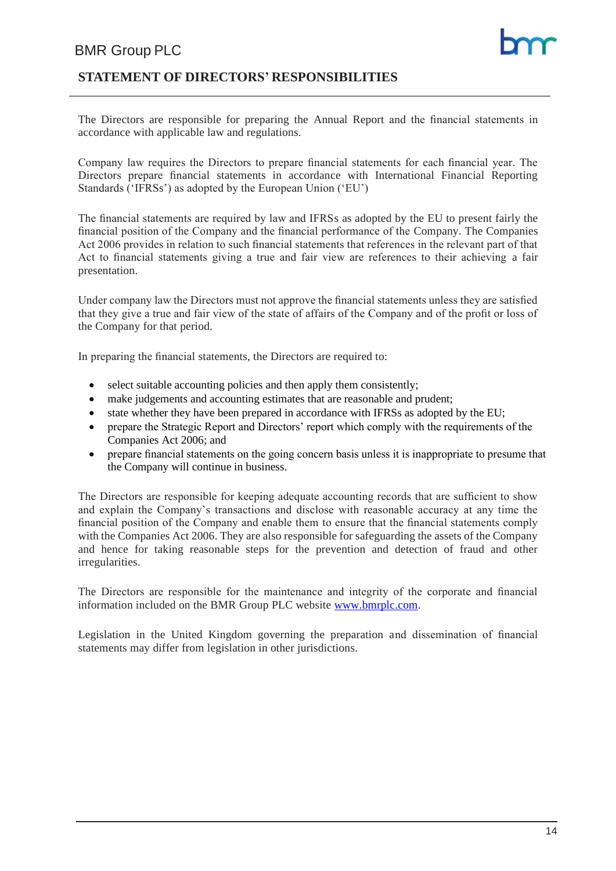### **STATEMENT OF DIRECTORS' RESPONSIBILITIES**

The Directors are responsible for preparing the Annual Report and the financial statements in accordance with applicable law and regulations.

Company law requires the Directors to prepare financial statements for each financial year. The Directors prepare financial statements in accordance with International Financial Reporting Standards ('IFRSs') as adopted by the European Union ('EU')

The financial statements are required by law and IFRSs as adopted by the EU to present fairly the financial position of the Company and the financial performance of the Company. The Companies Act 2006 provides in relation to such financial statements that references in the relevant part of that Act to financial statements giving a true and fair view are references to their achieving a fair presentation.

Under company law the Directors must not approve the financial statements unless they are satisfied that they give a true and fair view of the state of affairs of the Company and of the profit or loss of the Company for that period.

In preparing the financial statements, the Directors are required to:

- select suitable accounting policies and then apply them consistently;
- make judgements and accounting estimates that are reasonable and prudent;
- state whether they have been prepared in accordance with IFRSs as adopted by the EU;
- prepare the Strategic Report and Directors' report which comply with the requirements of the Companies Act 2006; and
- prepare financial statements on the going concern basis unless it is inappropriate to presume that the Company will continue in business.

The Directors are responsible for keeping adequate accounting records that are sufficient to show and explain the Company's transactions and disclose with reasonable accuracy at any time the financial position of the Company and enable them to ensure that the financial statements comply with the Companies Act 2006. They are also responsible for safeguarding the assets of the Company and hence for taking reasonable steps for the prevention and detection of fraud and other irregularities.

The Directors are responsible for the maintenance and integrity of the corporate and financial information included on the BMR Group PLC website [www.bmrplc.com.](http://www.bmrplc.com/)

Legislation in the United Kingdom governing the preparation and dissemination of financial statements may differ from legislation in other jurisdictions.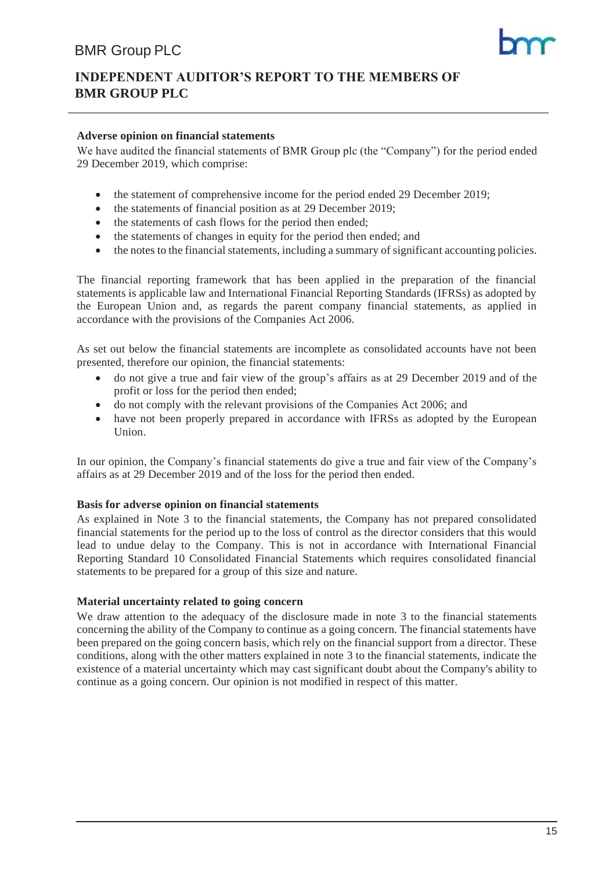# **INDEPENDENT AUDITOR'S REPORT TO THE MEMBERS OF BMR GROUP PLC**

#### **Adverse opinion on financial statements**

We have audited the financial statements of BMR Group plc (the "Company") for the period ended 29 December 2019, which comprise:

- the statement of comprehensive income for the period ended 29 December 2019;
- the statements of financial position as at 29 December 2019;
- the statements of cash flows for the period then ended;
- the statements of changes in equity for the period then ended; and
- the notes to the financial statements, including a summary of significant accounting policies.

The financial reporting framework that has been applied in the preparation of the financial statements is applicable law and International Financial Reporting Standards (IFRSs) as adopted by the European Union and, as regards the parent company financial statements, as applied in accordance with the provisions of the Companies Act 2006.

As set out below the financial statements are incomplete as consolidated accounts have not been presented, therefore our opinion, the financial statements:

- do not give a true and fair view of the group's affairs as at 29 December 2019 and of the profit or loss for the period then ended;
- do not comply with the relevant provisions of the Companies Act 2006; and
- have not been properly prepared in accordance with IFRSs as adopted by the European Union.

In our opinion, the Company's financial statements do give a true and fair view of the Company's affairs as at 29 December 2019 and of the loss for the period then ended.

#### **Basis for adverse opinion on financial statements**

As explained in Note 3 to the financial statements, the Company has not prepared consolidated financial statements for the period up to the loss of control as the director considers that this would lead to undue delay to the Company. This is not in accordance with International Financial Reporting Standard 10 Consolidated Financial Statements which requires consolidated financial statements to be prepared for a group of this size and nature.

#### **Material uncertainty related to going concern**

We draw attention to the adequacy of the disclosure made in note 3 to the financial statements concerning the ability of the Company to continue as a going concern. The financial statements have been prepared on the going concern basis, which rely on the financial support from a director. These conditions, along with the other matters explained in note 3 to the financial statements, indicate the existence of a material uncertainty which may cast significant doubt about the Company's ability to continue as a going concern. Our opinion is not modified in respect of this matter.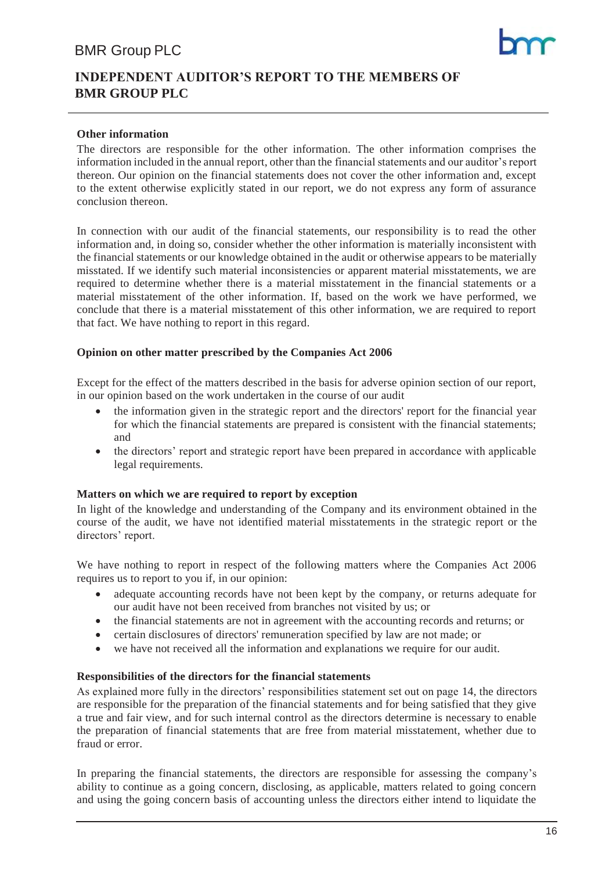# **INDEPENDENT AUDITOR'S REPORT TO THE MEMBERS OF BMR GROUP PLC**

#### **Other information**

The directors are responsible for the other information. The other information comprises the information included in the annual report, other than the financial statements and our auditor's report thereon. Our opinion on the financial statements does not cover the other information and, except to the extent otherwise explicitly stated in our report, we do not express any form of assurance conclusion thereon.

In connection with our audit of the financial statements, our responsibility is to read the other information and, in doing so, consider whether the other information is materially inconsistent with the financial statements or our knowledge obtained in the audit or otherwise appears to be materially misstated. If we identify such material inconsistencies or apparent material misstatements, we are required to determine whether there is a material misstatement in the financial statements or a material misstatement of the other information. If, based on the work we have performed, we conclude that there is a material misstatement of this other information, we are required to report that fact. We have nothing to report in this regard.

#### **Opinion on other matter prescribed by the Companies Act 2006**

Except for the effect of the matters described in the basis for adverse opinion section of our report, in our opinion based on the work undertaken in the course of our audit

- the information given in the strategic report and the directors' report for the financial year for which the financial statements are prepared is consistent with the financial statements; and
- the directors' report and strategic report have been prepared in accordance with applicable legal requirements.

#### **Matters on which we are required to report by exception**

In light of the knowledge and understanding of the Company and its environment obtained in the course of the audit, we have not identified material misstatements in the strategic report or the directors' report.

We have nothing to report in respect of the following matters where the Companies Act 2006 requires us to report to you if, in our opinion:

- adequate accounting records have not been kept by the company, or returns adequate for our audit have not been received from branches not visited by us; or
- the financial statements are not in agreement with the accounting records and returns; or
- certain disclosures of directors' remuneration specified by law are not made; or
- we have not received all the information and explanations we require for our audit.

#### **Responsibilities of the directors for the financial statements**

As explained more fully in the directors' responsibilities statement set out on page 14, the directors are responsible for the preparation of the financial statements and for being satisfied that they give a true and fair view, and for such internal control as the directors determine is necessary to enable the preparation of financial statements that are free from material misstatement, whether due to fraud or error.

In preparing the financial statements, the directors are responsible for assessing the company's ability to continue as a going concern, disclosing, as applicable, matters related to going concern and using the going concern basis of accounting unless the directors either intend to liquidate the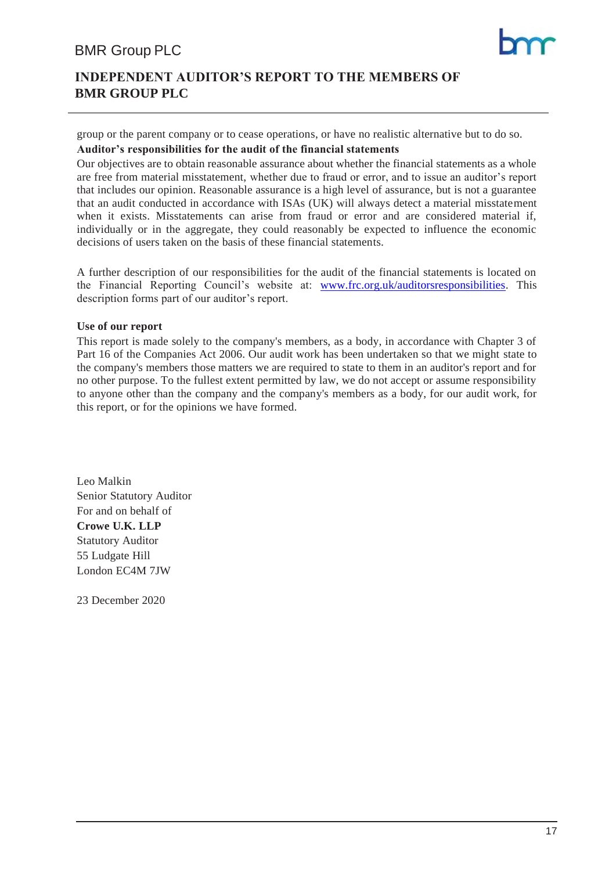# **INDEPENDENT AUDITOR'S REPORT TO THE MEMBERS OF BMR GROUP PLC**

group or the parent company or to cease operations, or have no realistic alternative but to do so.

#### **Auditor's responsibilities for the audit of the financial statements**

Our objectives are to obtain reasonable assurance about whether the financial statements as a whole are free from material misstatement, whether due to fraud or error, and to issue an auditor's report that includes our opinion. Reasonable assurance is a high level of assurance, but is not a guarantee that an audit conducted in accordance with ISAs (UK) will always detect a material misstatement when it exists. Misstatements can arise from fraud or error and are considered material if, individually or in the aggregate, they could reasonably be expected to influence the economic decisions of users taken on the basis of these financial statements.

A further description of our responsibilities for the audit of the financial statements is located on the Financial Reporting Council's website at: [www.frc.org.uk/auditorsresponsibilities.](http://www.frc.org.uk/auditorsresponsibilities) This description forms part of our auditor's report.

#### **Use of our report**

This report is made solely to the company's members, as a body, in accordance with Chapter 3 of Part 16 of the Companies Act 2006. Our audit work has been undertaken so that we might state to the company's members those matters we are required to state to them in an auditor's report and for no other purpose. To the fullest extent permitted by law, we do not accept or assume responsibility to anyone other than the company and the company's members as a body, for our audit work, for this report, or for the opinions we have formed.

Leo Malkin Senior Statutory Auditor For and on behalf of **Crowe U.K. LLP** Statutory Auditor 55 Ludgate Hill London EC4M 7JW

23 December 2020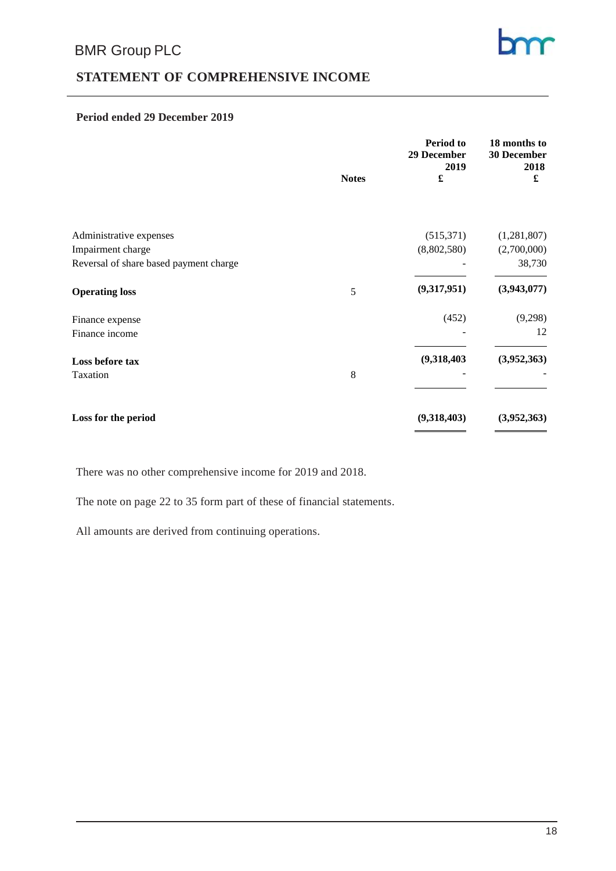# **STATEMENT OF COMPREHENSIVE INCOME**

#### **Period ended 29 December 2019**

|                                        | <b>Notes</b> | Period to<br>29 December<br>2019 | 18 months to<br>30 December<br>2018<br>£ |
|----------------------------------------|--------------|----------------------------------|------------------------------------------|
|                                        |              |                                  |                                          |
| Administrative expenses                |              | (515,371)                        | (1,281,807)                              |
| Impairment charge                      |              | (8,802,580)                      | (2,700,000)                              |
| Reversal of share based payment charge |              |                                  | 38,730                                   |
| <b>Operating loss</b>                  | 5            | (9,317,951)                      | (3,943,077)                              |
| Finance expense                        |              | (452)                            | (9,298)                                  |
| Finance income                         |              |                                  | 12                                       |
| Loss before tax                        |              | (9,318,403)                      | (3,952,363)                              |
| Taxation                               | 8            |                                  |                                          |
|                                        |              |                                  |                                          |
| Loss for the period                    |              | (9,318,403)                      | (3,952,363)                              |

There was no other comprehensive income for 2019 and 2018.

The note on page 22 to 35 form part of these of financial statements.

All amounts are derived from continuing operations.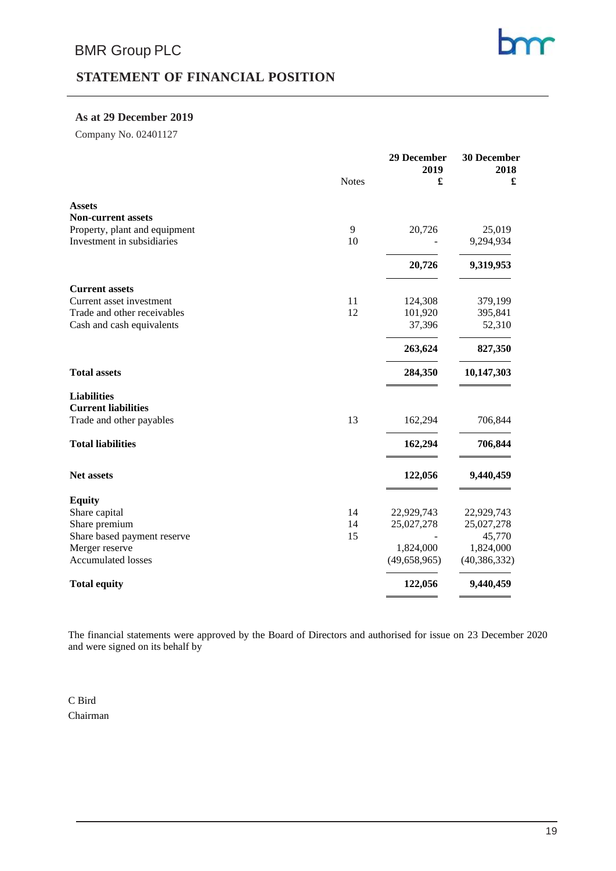# **STATEMENT OF FINANCIAL POSITION**

#### **As at 29 December 2019**

Company No. 02401127

|                               | <b>Notes</b> | 29 December<br>2019<br>£ | 30 December<br>2018<br>£ |
|-------------------------------|--------------|--------------------------|--------------------------|
| <b>Assets</b>                 |              |                          |                          |
| <b>Non-current assets</b>     |              |                          |                          |
| Property, plant and equipment | 9            | 20,726                   | 25,019                   |
| Investment in subsidiaries    | 10           |                          | 9,294,934                |
|                               |              | 20,726                   | 9,319,953                |
| <b>Current assets</b>         |              |                          |                          |
| Current asset investment      | 11           | 124,308                  | 379,199                  |
| Trade and other receivables   | 12           | 101,920                  | 395,841                  |
| Cash and cash equivalents     |              | 37,396                   | 52,310                   |
|                               |              | 263,624                  | 827,350                  |
| <b>Total assets</b>           |              | 284,350                  | 10,147,303               |
| <b>Liabilities</b>            |              |                          |                          |
| <b>Current liabilities</b>    |              |                          |                          |
| Trade and other payables      | 13           | 162,294                  | 706,844                  |
| <b>Total liabilities</b>      |              | 162,294                  | 706,844                  |
| Net assets                    |              | 122,056                  | 9,440,459                |
| <b>Equity</b>                 |              |                          |                          |
| Share capital                 | 14           | 22,929,743               | 22,929,743               |
| Share premium                 | 14           | 25,027,278               | 25,027,278               |
| Share based payment reserve   | 15           |                          | 45,770                   |
| Merger reserve                |              | 1,824,000                | 1,824,000                |
| <b>Accumulated losses</b>     |              | (49, 658, 965)           | (40, 386, 332)           |
| <b>Total equity</b>           |              | 122,056                  | 9,440,459                |
|                               |              |                          |                          |

The financial statements were approved by the Board of Directors and authorised for issue on 23 December 2020 and were signed on its behalf by

C Bird Chairman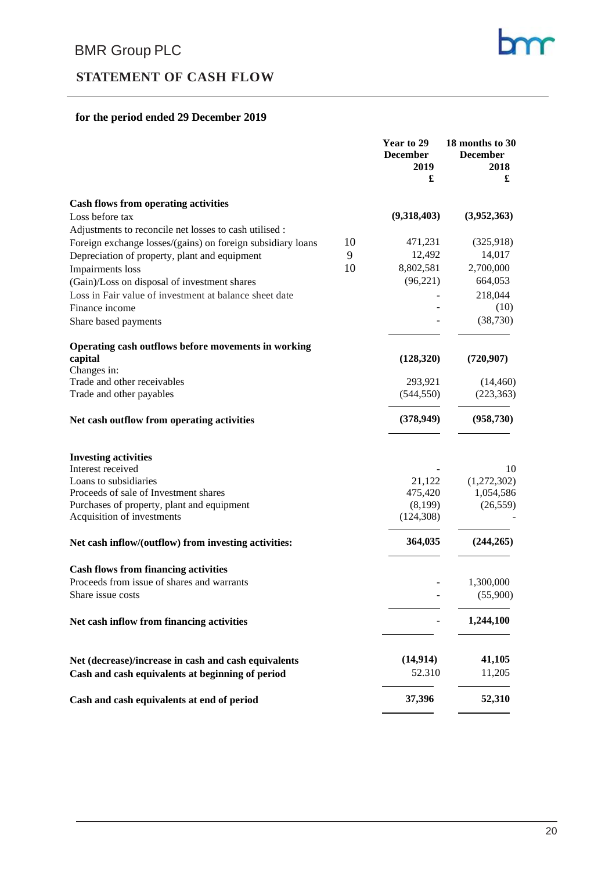# **STATEMENT OF CASH FLOW**

### **for the period ended 29 December 2019**

|                                                                   | Year to 29<br><b>December</b><br>2019<br>£ | 18 months to 30<br><b>December</b><br>2018<br>£ |
|-------------------------------------------------------------------|--------------------------------------------|-------------------------------------------------|
| <b>Cash flows from operating activities</b>                       |                                            |                                                 |
| Loss before tax                                                   | (9,318,403)                                | (3,952,363)                                     |
| Adjustments to reconcile net losses to cash utilised :            |                                            |                                                 |
| Foreign exchange losses/(gains) on foreign subsidiary loans<br>10 | 471,231                                    | (325,918)                                       |
| 9<br>Depreciation of property, plant and equipment                | 12,492                                     | 14,017                                          |
| 10<br>Impairments loss                                            | 8,802,581                                  | 2,700,000                                       |
| (Gain)/Loss on disposal of investment shares                      | (96,221)                                   | 664,053                                         |
| Loss in Fair value of investment at balance sheet date            |                                            | 218,044                                         |
| Finance income                                                    |                                            | (10)                                            |
| Share based payments                                              |                                            | (38, 730)                                       |
| Operating cash outflows before movements in working               |                                            |                                                 |
| capital                                                           | (128,320)                                  | (720, 907)                                      |
| Changes in:                                                       |                                            |                                                 |
| Trade and other receivables                                       | 293,921                                    | (14, 460)                                       |
| Trade and other payables                                          | (544, 550)                                 | (223, 363)                                      |
| Net cash outflow from operating activities                        | (378,949)                                  | (958, 730)                                      |
| <b>Investing activities</b>                                       |                                            |                                                 |
| Interest received                                                 |                                            | 10                                              |
| Loans to subsidiaries                                             | 21,122                                     | (1,272,302)                                     |
| Proceeds of sale of Investment shares                             | 475,420                                    | 1,054,586                                       |
| Purchases of property, plant and equipment                        | (8,199)                                    | (26, 559)                                       |
| Acquisition of investments                                        | (124, 308)                                 |                                                 |
| Net cash inflow/(outflow) from investing activities:              | 364,035                                    | (244, 265)                                      |
| <b>Cash flows from financing activities</b>                       |                                            |                                                 |
| Proceeds from issue of shares and warrants                        |                                            | 1,300,000                                       |
| Share issue costs                                                 |                                            | (55,900)                                        |
| Net cash inflow from financing activities                         |                                            | 1,244,100                                       |
| Net (decrease)/increase in cash and cash equivalents              | (14, 914)                                  | 41,105                                          |
| Cash and cash equivalents at beginning of period                  | 52.310                                     | 11,205                                          |
| Cash and cash equivalents at end of period                        | 37,396                                     | 52,310                                          |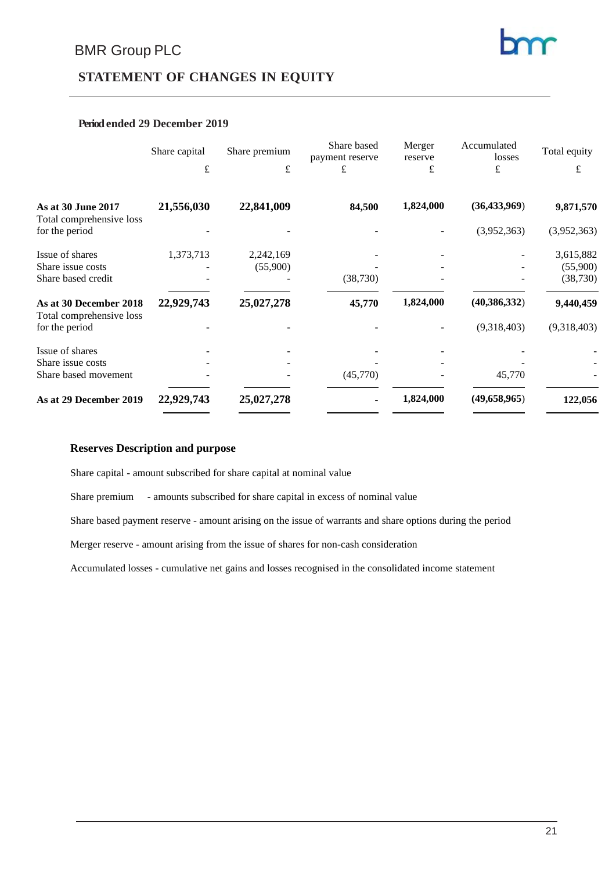# **STATEMENT OF CHANGES IN EQUITY**

#### **Periodended 29 December 2019**

|                                                    | Share capital | Share premium         | Share based<br>payment reserve | Merger<br>reserve | Accumulated<br>losses | Total equity          |
|----------------------------------------------------|---------------|-----------------------|--------------------------------|-------------------|-----------------------|-----------------------|
|                                                    | £             | £                     | £                              | £                 | £                     | £                     |
| As at 30 June 2017<br>Total comprehensive loss     | 21,556,030    | 22,841,009            | 84,500                         | 1,824,000         | (36, 433, 969)        | 9,871,570             |
| for the period                                     |               |                       |                                |                   | (3,952,363)           | (3,952,363)           |
| Issue of shares<br>Share issue costs               | 1,373,713     | 2,242,169<br>(55,900) |                                |                   |                       | 3,615,882<br>(55,900) |
| Share based credit                                 |               |                       | (38, 730)                      |                   |                       | (38, 730)             |
| As at 30 December 2018<br>Total comprehensive loss | 22,929,743    | 25,027,278            | 45,770                         | 1,824,000         | (40, 386, 332)        | 9,440,459             |
| for the period                                     |               |                       |                                |                   | (9,318,403)           | (9,318,403)           |
| Issue of shares                                    |               |                       |                                |                   |                       |                       |
| Share issue costs                                  |               |                       |                                |                   |                       |                       |
| Share based movement                               |               |                       | (45,770)                       |                   | 45,770                |                       |
| As at 29 December 2019                             | 22,929,743    | 25,027,278            |                                | 1,824,000         | (49,658,965)          | 122,056               |
|                                                    |               |                       |                                |                   |                       |                       |

#### **Reserves Description and purpose**

Share capital - amount subscribed for share capital at nominal value

Share premium - amounts subscribed for share capital in excess of nominal value

Share based payment reserve - amount arising on the issue of warrants and share options during the period

Merger reserve - amount arising from the issue of shares for non-cash consideration

Accumulated losses - cumulative net gains and losses recognised in the consolidated income statement

bm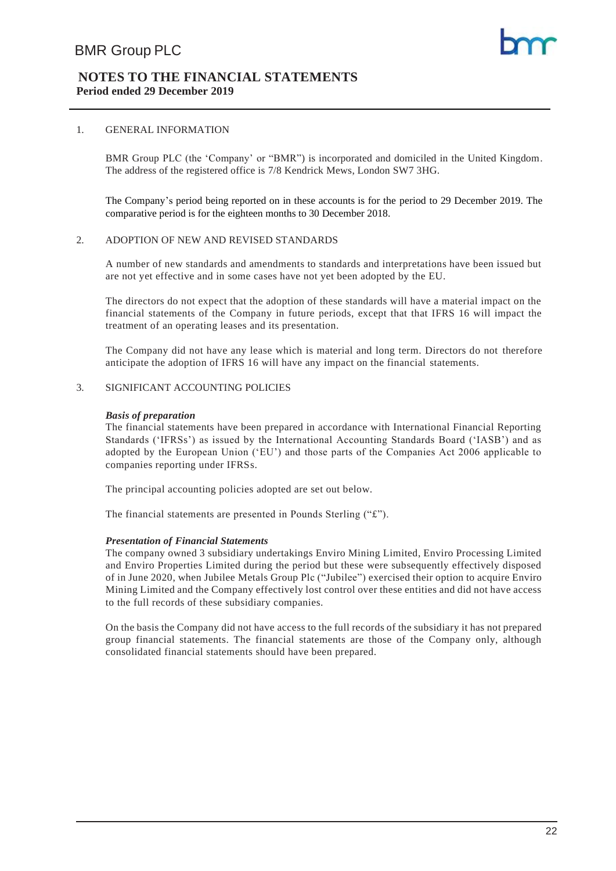#### **NOTES TO THE FINANCIAL STATEMENTS Period ended 29 December 2019**

#### 1. GENERAL INFORMATION

BMR Group PLC (the 'Company' or "BMR") is incorporated and domiciled in the United Kingdom. The address of the registered office is 7/8 Kendrick Mews, London SW7 3HG.

The Company's period being reported on in these accounts is for the period to 29 December 2019. The comparative period is for the eighteen months to 30 December 2018.

#### 2. ADOPTION OF NEW AND REVISED STANDARDS

A number of new standards and amendments to standards and interpretations have been issued but are not yet effective and in some cases have not yet been adopted by the EU.

The directors do not expect that the adoption of these standards will have a material impact on the financial statements of the Company in future periods, except that that IFRS 16 will impact the treatment of an operating leases and its presentation.

The Company did not have any lease which is material and long term. Directors do not therefore anticipate the adoption of IFRS 16 will have any impact on the financial statements.

#### 3. SIGNIFICANT ACCOUNTING POLICIES

#### *Basis of preparation*

The financial statements have been prepared in accordance with International Financial Reporting Standards ('IFRSs') as issued by the International Accounting Standards Board ('IASB') and as adopted by the European Union ('EU') and those parts of the Companies Act 2006 applicable to companies reporting under IFRSs.

The principal accounting policies adopted are set out below.

The financial statements are presented in Pounds Sterling ("£").

#### *Presentation of Financial Statements*

The company owned 3 subsidiary undertakings Enviro Mining Limited, Enviro Processing Limited and Enviro Properties Limited during the period but these were subsequently effectively disposed of in June 2020, when Jubilee Metals Group Plc ("Jubilee") exercised their option to acquire Enviro Mining Limited and the Company effectively lost control over these entities and did not have access to the full records of these subsidiary companies.

On the basis the Company did not have access to the full records of the subsidiary it has not prepared group financial statements. The financial statements are those of the Company only, although consolidated financial statements should have been prepared.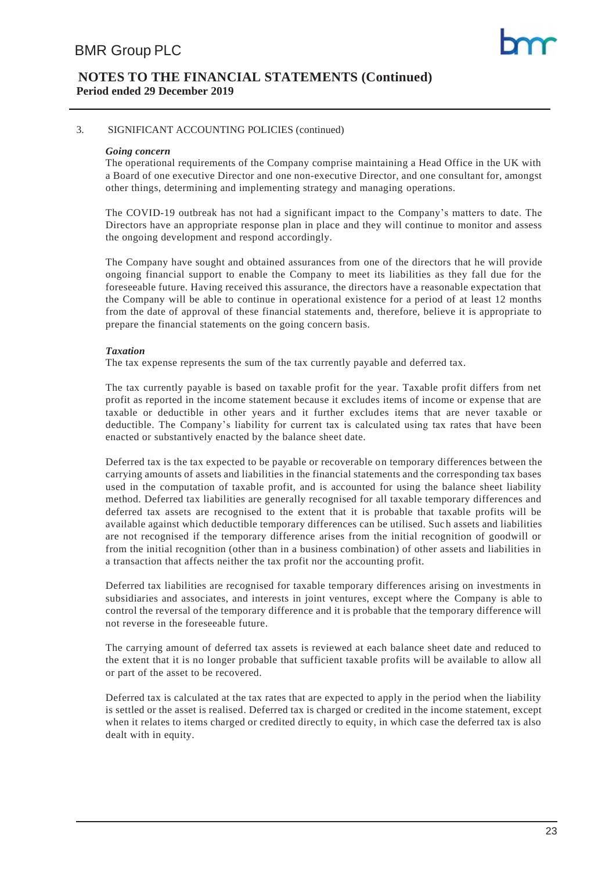#### 3. SIGNIFICANT ACCOUNTING POLICIES (continued)

#### *Going concern*

The operational requirements of the Company comprise maintaining a Head Office in the UK with a Board of one executive Director and one non-executive Director, and one consultant for, amongst other things, determining and implementing strategy and managing operations.

The COVID-19 outbreak has not had a significant impact to the Company's matters to date. The Directors have an appropriate response plan in place and they will continue to monitor and assess the ongoing development and respond accordingly.

The Company have sought and obtained assurances from one of the directors that he will provide ongoing financial support to enable the Company to meet its liabilities as they fall due for the foreseeable future. Having received this assurance, the directors have a reasonable expectation that the Company will be able to continue in operational existence for a period of at least 12 months from the date of approval of these financial statements and, therefore, believe it is appropriate to prepare the financial statements on the going concern basis.

#### *Taxation*

The tax expense represents the sum of the tax currently payable and deferred tax.

The tax currently payable is based on taxable profit for the year. Taxable profit differs from net profit as reported in the income statement because it excludes items of income or expense that are taxable or deductible in other years and it further excludes items that are never taxable or deductible. The Company's liability for current tax is calculated using tax rates that have been enacted or substantively enacted by the balance sheet date.

Deferred tax is the tax expected to be payable or recoverable on temporary differences between the carrying amounts of assets and liabilities in the financial statements and the corresponding tax bases used in the computation of taxable profit, and is accounted for using the balance sheet liability method. Deferred tax liabilities are generally recognised for all taxable temporary differences and deferred tax assets are recognised to the extent that it is probable that taxable profits will be available against which deductible temporary differences can be utilised. Such assets and liabilities are not recognised if the temporary difference arises from the initial recognition of goodwill or from the initial recognition (other than in a business combination) of other assets and liabilities in a transaction that affects neither the tax profit nor the accounting profit.

Deferred tax liabilities are recognised for taxable temporary differences arising on investments in subsidiaries and associates, and interests in joint ventures, except where the Company is able to control the reversal of the temporary difference and it is probable that the temporary difference will not reverse in the foreseeable future.

The carrying amount of deferred tax assets is reviewed at each balance sheet date and reduced to the extent that it is no longer probable that sufficient taxable profits will be available to allow all or part of the asset to be recovered.

Deferred tax is calculated at the tax rates that are expected to apply in the period when the liability is settled or the asset is realised. Deferred tax is charged or credited in the income statement, except when it relates to items charged or credited directly to equity, in which case the deferred tax is also dealt with in equity.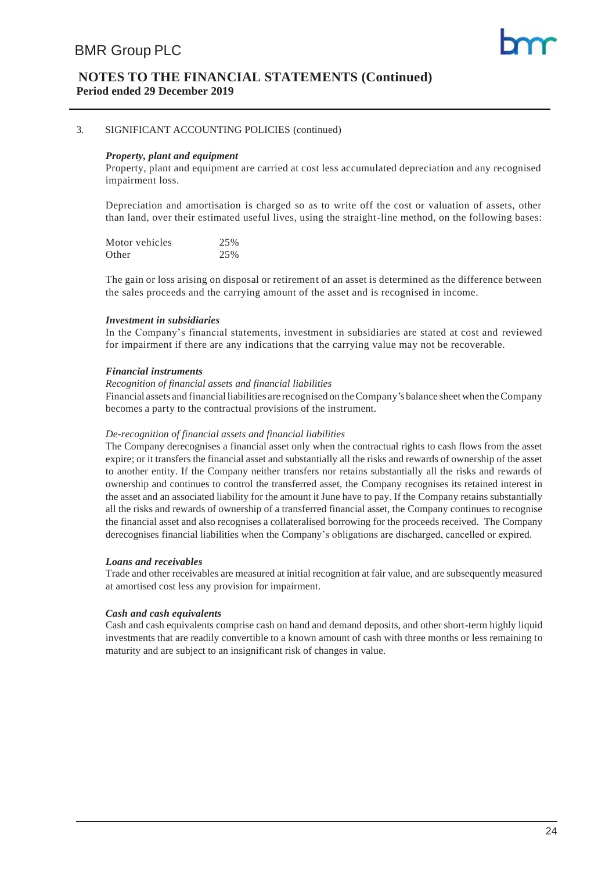#### **NOTES TO THE FINANCIAL STATEMENTS (Continued) Period ended 29 December 2019**

#### 3. SIGNIFICANT ACCOUNTING POLICIES (continued)

#### *Property, plant and equipment*

Property, plant and equipment are carried at cost less accumulated depreciation and any recognised impairment loss.

Depreciation and amortisation is charged so as to write off the cost or valuation of assets, other than land, over their estimated useful lives, using the straight-line method, on the following bases:

| Motor vehicles | 25% |
|----------------|-----|
| Other          | 25% |

The gain or loss arising on disposal or retirement of an asset is determined as the difference between the sales proceeds and the carrying amount of the asset and is recognised in income.

#### *Investment in subsidiaries*

In the Company's financial statements, investment in subsidiaries are stated at cost and reviewed for impairment if there are any indications that the carrying value may not be recoverable.

#### *Financial instruments*

#### *Recognition of financial assets and financial liabilities*

Financial assets and financial liabilities are recognised on theCompany's balance sheetwhen theCompany becomes a party to the contractual provisions of the instrument.

#### *De-recognition of financial assets and financial liabilities*

The Company derecognises a financial asset only when the contractual rights to cash flows from the asset expire; or it transfers the financial asset and substantially all the risks and rewards of ownership of the asset to another entity. If the Company neither transfers nor retains substantially all the risks and rewards of ownership and continues to control the transferred asset, the Company recognises its retained interest in the asset and an associated liability for the amount it June have to pay. If the Company retains substantially all the risks and rewards of ownership of a transferred financial asset, the Company continues to recognise the financial asset and also recognises a collateralised borrowing for the proceeds received. The Company derecognises financial liabilities when the Company's obligations are discharged, cancelled or expired.

#### *Loans and receivables*

Trade and other receivables are measured at initial recognition at fair value, and are subsequently measured at amortised cost less any provision for impairment.

#### *Cash and cash equivalents*

Cash and cash equivalents comprise cash on hand and demand deposits, and other short-term highly liquid investments that are readily convertible to a known amount of cash with three months or less remaining to maturity and are subject to an insignificant risk of changes in value.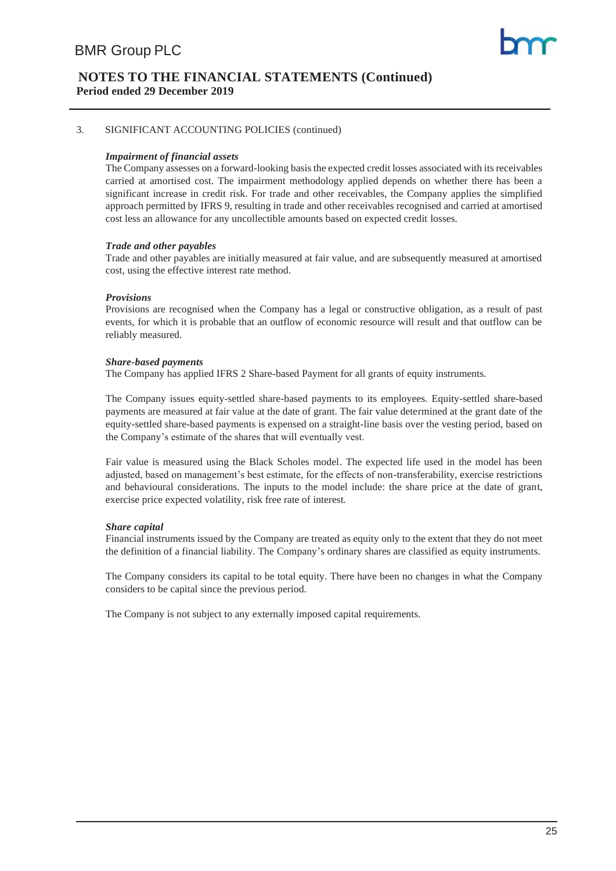#### 3. SIGNIFICANT ACCOUNTING POLICIES (continued)

#### *Impairment of financial assets*

The Company assesses on a forward-looking basis the expected credit losses associated with its receivables carried at amortised cost. The impairment methodology applied depends on whether there has been a significant increase in credit risk. For trade and other receivables, the Company applies the simplified approach permitted by IFRS 9, resulting in trade and other receivables recognised and carried at amortised cost less an allowance for any uncollectible amounts based on expected credit losses.

#### *Trade and other payables*

Trade and other payables are initially measured at fair value, and are subsequently measured at amortised cost, using the effective interest rate method.

#### *Provisions*

Provisions are recognised when the Company has a legal or constructive obligation, as a result of past events, for which it is probable that an outflow of economic resource will result and that outflow can be reliably measured.

#### *Share-based payments*

The Company has applied IFRS 2 Share-based Payment for all grants of equity instruments.

The Company issues equity-settled share-based payments to its employees. Equity-settled share-based payments are measured at fair value at the date of grant. The fair value determined at the grant date of the equity-settled share-based payments is expensed on a straight-line basis over the vesting period, based on the Company's estimate of the shares that will eventually vest.

Fair value is measured using the Black Scholes model. The expected life used in the model has been adjusted, based on management's best estimate, for the effects of non-transferability, exercise restrictions and behavioural considerations. The inputs to the model include: the share price at the date of grant, exercise price expected volatility, risk free rate of interest.

#### *Share capital*

Financial instruments issued by the Company are treated as equity only to the extent that they do not meet the definition of a financial liability. The Company's ordinary shares are classified as equity instruments.

The Company considers its capital to be total equity. There have been no changes in what the Company considers to be capital since the previous period.

The Company is not subject to any externally imposed capital requirements.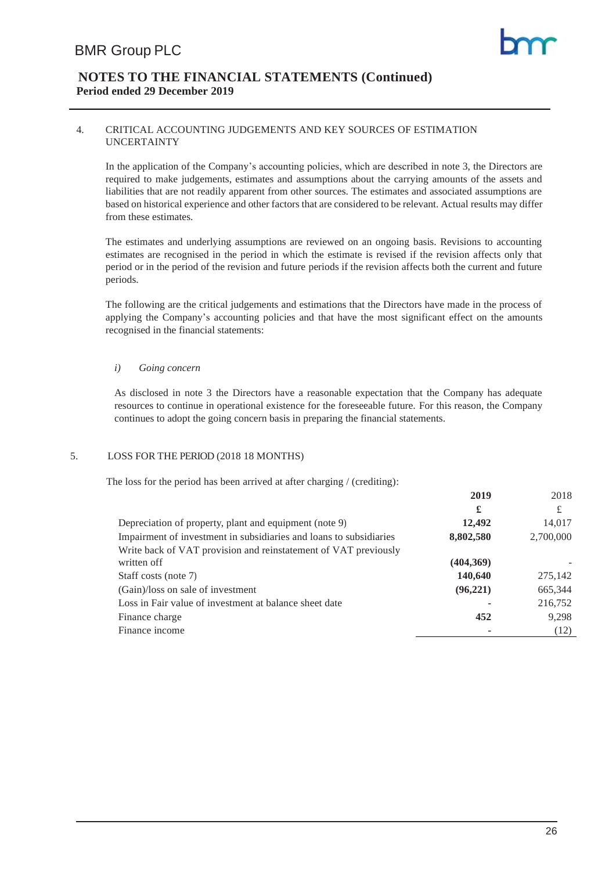#### 4. CRITICAL ACCOUNTING JUDGEMENTS AND KEY SOURCES OF ESTIMATION UNCERTAINTY

In the application of the Company's accounting policies, which are described in note 3, the Directors are required to make judgements, estimates and assumptions about the carrying amounts of the assets and liabilities that are not readily apparent from other sources. The estimates and associated assumptions are based on historical experience and other factors that are considered to be relevant. Actual results may differ from these estimates.

The estimates and underlying assumptions are reviewed on an ongoing basis. Revisions to accounting estimates are recognised in the period in which the estimate is revised if the revision affects only that period or in the period of the revision and future periods if the revision affects both the current and future periods.

The following are the critical judgements and estimations that the Directors have made in the process of applying the Company's accounting policies and that have the most significant effect on the amounts recognised in the financial statements:

#### *i) Going concern*

As disclosed in note 3 the Directors have a reasonable expectation that the Company has adequate resources to continue in operational existence for the foreseeable future. For this reason, the Company continues to adopt the going concern basis in preparing the financial statements.

#### 5. LOSS FOR THE PERIOD (2018 18 MONTHS)

The loss for the period has been arrived at after charging / (crediting):

|                                                                    | £         | £         |
|--------------------------------------------------------------------|-----------|-----------|
| Depreciation of property, plant and equipment (note 9)             | 12,492    | 14,017    |
| Impairment of investment in subsidiaries and loans to subsidiaries | 8,802,580 | 2,700,000 |
| Write back of VAT provision and reinstatement of VAT previously    |           |           |
| written off                                                        | (404,369) |           |
| Staff costs (note 7)                                               | 140,640   | 275,142   |
| (Gain)/loss on sale of investment                                  | (96, 221) | 665,344   |
| Loss in Fair value of investment at balance sheet date             |           | 216,752   |
| Finance charge                                                     | 452       | 9,298     |
| Finance income                                                     |           | (12)      |

**2019** 2018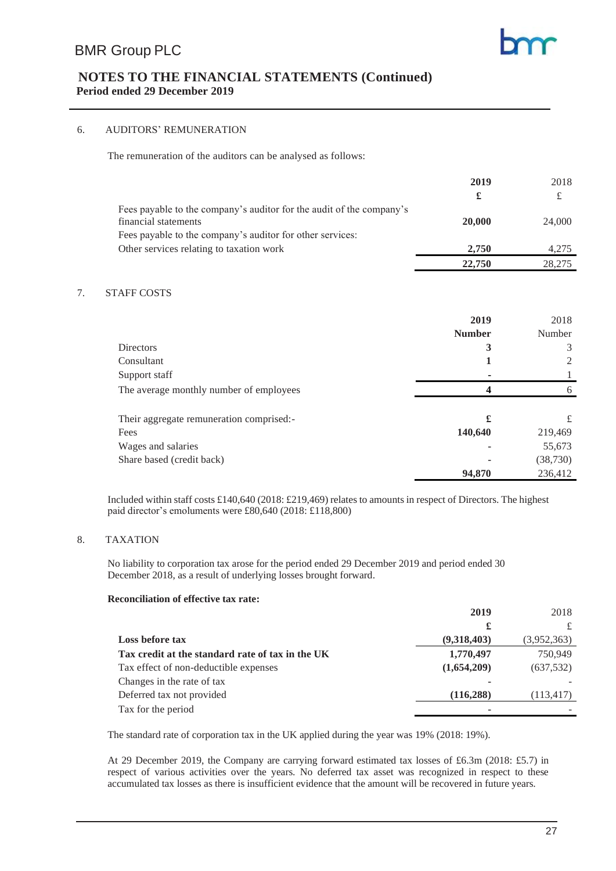#### 6. AUDITORS' REMUNERATION

The remuneration of the auditors can be analysed as follows:

|                                                                      | 2019   | 2018   |
|----------------------------------------------------------------------|--------|--------|
|                                                                      |        | £      |
| Fees payable to the company's auditor for the audit of the company's |        |        |
| financial statements                                                 | 20,000 | 24,000 |
| Fees payable to the company's auditor for other services:            |        |        |
| Other services relating to taxation work                             | 2.750  | 4.275  |
|                                                                      | 22,750 | 28,275 |

#### 7. STAFF COSTS

|                                          | 2019          | 2018      |
|------------------------------------------|---------------|-----------|
|                                          | <b>Number</b> | Number    |
| <b>Directors</b>                         | 3             | 3         |
| Consultant                               |               | 2         |
| Support staff                            |               |           |
| The average monthly number of employees  | 4             | 6         |
|                                          |               |           |
| Their aggregate remuneration comprised:- | £             | £         |
| Fees                                     | 140,640       | 219,469   |
| Wages and salaries                       |               | 55,673    |
| Share based (credit back)                |               | (38, 730) |
|                                          | 94,870        | 236,412   |

Included within staff costs £140,640 (2018: £219,469) relates to amounts in respect of Directors. The highest paid director's emoluments were £80,640 (2018: £118,800)

#### 8. TAXATION

No liability to corporation tax arose for the period ended 29 December 2019 and period ended 30 December 2018, as a result of underlying losses brought forward.

#### **Reconciliation of effective tax rate:**

|                                                  | 2019        | 2018        |
|--------------------------------------------------|-------------|-------------|
|                                                  | £           |             |
| <b>Loss before tax</b>                           | (9,318,403) | (3,952,363) |
| Tax credit at the standard rate of tax in the UK | 1,770,497   | 750.949     |
| Tax effect of non-deductible expenses            | (1,654,209) | (637, 532)  |
| Changes in the rate of tax                       |             |             |
| Deferred tax not provided                        | (116, 288)  | (113, 417)  |
| Tax for the period                               |             |             |

The standard rate of corporation tax in the UK applied during the year was 19% (2018: 19%).

At 29 December 2019, the Company are carrying forward estimated tax losses of £6.3m (2018: £5.7) in respect of various activities over the years. No deferred tax asset was recognized in respect to these accumulated tax losses as there is insufficient evidence that the amount will be recovered in future years.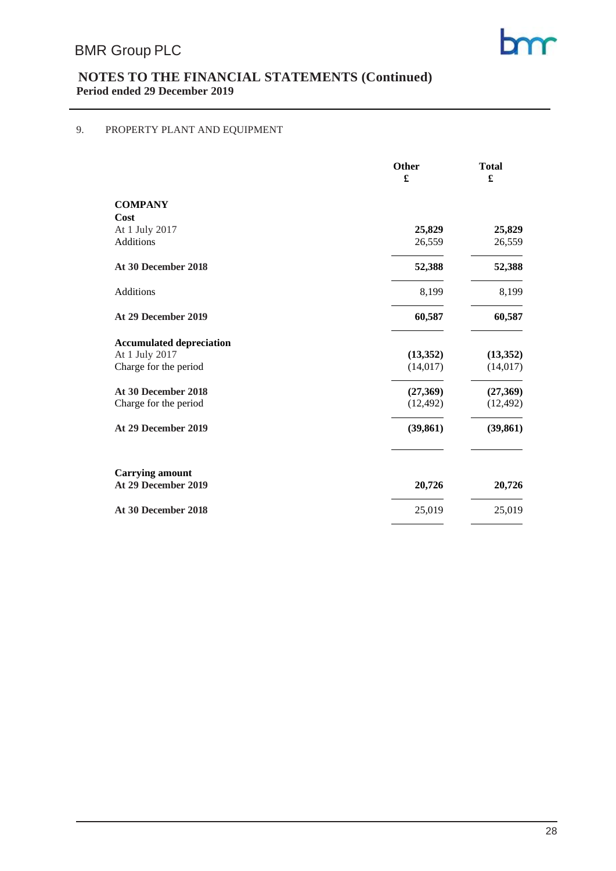# 9. PROPERTY PLANT AND EQUIPMENT

|                                 | Other     | <b>Total</b> |  |
|---------------------------------|-----------|--------------|--|
|                                 | £         | £            |  |
| <b>COMPANY</b>                  |           |              |  |
| Cost                            |           |              |  |
| At 1 July 2017                  | 25,829    | 25,829       |  |
| Additions                       | 26,559    | 26,559       |  |
| At 30 December 2018             | 52,388    | 52,388       |  |
| Additions                       | 8,199     | 8,199        |  |
| At 29 December 2019             | 60,587    | 60,587       |  |
| <b>Accumulated depreciation</b> |           |              |  |
| At 1 July 2017                  | (13,352)  | (13,352)     |  |
| Charge for the period           | (14, 017) | (14, 017)    |  |
| At 30 December 2018             | (27,369)  | (27,369)     |  |
| Charge for the period           | (12, 492) | (12, 492)    |  |
| At 29 December 2019             | (39, 861) | (39, 861)    |  |
| <b>Carrying amount</b>          |           |              |  |
| At 29 December 2019             | 20,726    | 20,726       |  |
| At 30 December 2018             | 25,019    | 25,019       |  |
|                                 |           |              |  |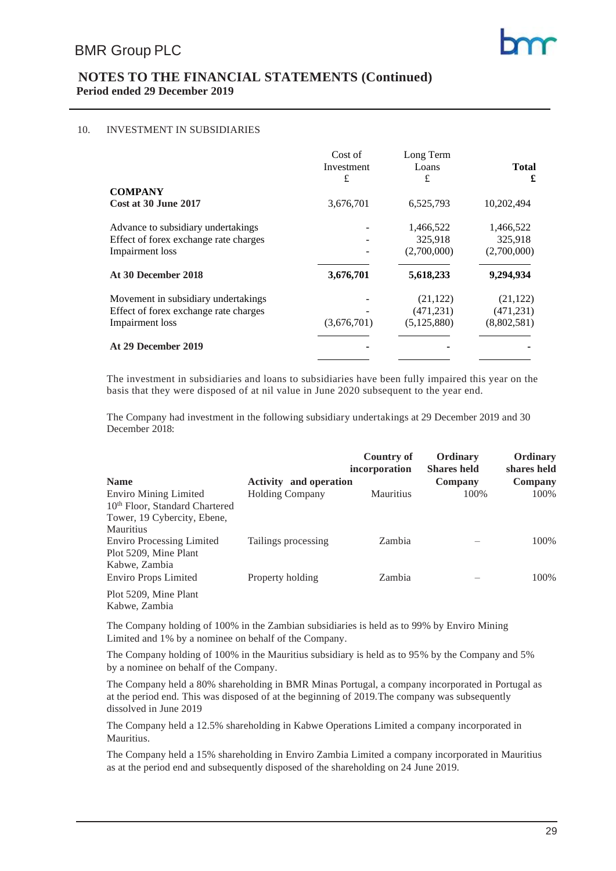#### 10. INVESTMENT IN SUBSIDIARIES

|                                        | Cost of<br>Investment<br>£ | Long Term<br>Loans<br>£ | <b>Total</b><br>£ |
|----------------------------------------|----------------------------|-------------------------|-------------------|
| <b>COMPANY</b><br>Cost at 30 June 2017 | 3,676,701                  | 6,525,793               | 10,202,494        |
|                                        |                            |                         |                   |
| Advance to subsidiary undertakings     |                            | 1,466,522               | 1,466,522         |
| Effect of forex exchange rate charges  |                            | 325,918                 | 325,918           |
| <b>Impairment</b> loss                 |                            | (2,700,000)             | (2,700,000)       |
| At 30 December 2018                    | 3,676,701                  | 5,618,233               | 9,294,934         |
| Movement in subsidiary undertakings    |                            | (21, 122)               | (21, 122)         |
| Effect of forex exchange rate charges  |                            | (471, 231)              | (471, 231)        |
| Impairment loss                        | (3,676,701)                | (5, 125, 880)           | (8,802,581)       |
| At 29 December 2019                    |                            |                         |                   |
|                                        |                            |                         |                   |

The investment in subsidiaries and loans to subsidiaries have been fully impaired this year on the basis that they were disposed of at nil value in June 2020 subsequent to the year end.

The Company had investment in the following subsidiary undertakings at 29 December 2019 and 30 December 2018:

|                                            |                               | Country of<br>incorporation | Ordinary<br><b>Shares held</b> | Ordinary<br>shares held |
|--------------------------------------------|-------------------------------|-----------------------------|--------------------------------|-------------------------|
| <b>Name</b>                                | <b>Activity</b> and operation |                             | Company                        | Company                 |
| <b>Enviro Mining Limited</b>               | <b>Holding Company</b>        | <b>Mauritius</b>            | 100%                           | 100%                    |
| 10 <sup>th</sup> Floor, Standard Chartered |                               |                             |                                |                         |
| Tower, 19 Cybercity, Ebene,                |                               |                             |                                |                         |
| <b>Mauritius</b>                           |                               |                             |                                |                         |
| <b>Enviro Processing Limited</b>           | Tailings processing           | Zambia                      |                                | 100%                    |
| Plot 5209, Mine Plant                      |                               |                             |                                |                         |
| Kabwe, Zambia                              |                               |                             |                                |                         |
| Enviro Props Limited                       | Property holding              | Zambia                      |                                | 100%                    |
| Plot 5209, Mine Plant                      |                               |                             |                                |                         |
| Kabwe, Zambia                              |                               |                             |                                |                         |

The Company holding of 100% in the Zambian subsidiaries is held as to 99% by Enviro Mining Limited and 1% by a nominee on behalf of the Company.

The Company holding of 100% in the Mauritius subsidiary is held as to 95% by the Company and 5% by a nominee on behalf of the Company.

The Company held a 80% shareholding in BMR Minas Portugal, a company incorporated in Portugal as at the period end. This was disposed of at the beginning of 2019.The company was subsequently dissolved in June 2019

The Company held a 12.5% shareholding in Kabwe Operations Limited a company incorporated in Mauritius.

The Company held a 15% shareholding in Enviro Zambia Limited a company incorporated in Mauritius as at the period end and subsequently disposed of the shareholding on 24 June 2019.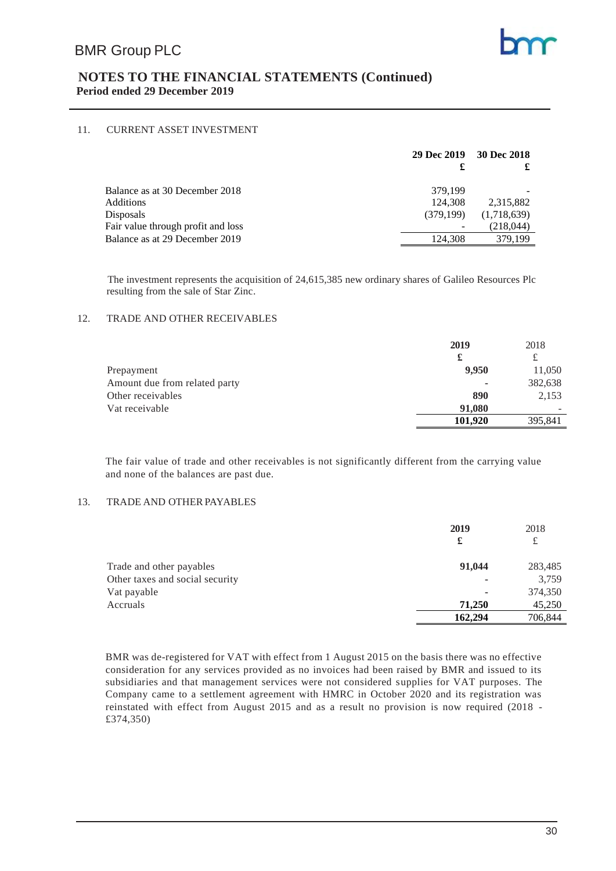

#### 11. CURRENT ASSET INVESTMENT

|                                    | 29 Dec 2019 | 30 Dec 2018 |
|------------------------------------|-------------|-------------|
|                                    | £           |             |
| Balance as at 30 December 2018     | 379,199     |             |
| Additions                          | 124,308     | 2.315.882   |
| Disposals                          | (379.199)   | (1,718,639) |
| Fair value through profit and loss |             | (218, 044)  |
| Balance as at 29 December 2019     | 124,308     | 379.199     |

The investment represents the acquisition of 24,615,385 new ordinary shares of Galileo Resources Plc resulting from the sale of Star Zinc.

#### 12. TRADE AND OTHER RECEIVABLES

|                               | 2019    | 2018    |
|-------------------------------|---------|---------|
|                               | £       | £       |
| Prepayment                    | 9,950   | 11,050  |
| Amount due from related party | ٠       | 382,638 |
| Other receivables             | 890     | 2,153   |
| Vat receivable                | 91.080  |         |
|                               | 101.920 | 395,841 |

The fair value of trade and other receivables is not significantly different from the carrying value and none of the balances are past due.

#### 13. TRADE AND OTHER PAYABLES

|                                 | 2019<br>£ | 2018<br>£ |
|---------------------------------|-----------|-----------|
| Trade and other payables        | 91,044    | 283,485   |
| Other taxes and social security | ٠         | 3,759     |
| Vat payable                     | ٠         | 374,350   |
| Accruals                        | 71,250    | 45,250    |
|                                 | 162,294   | 706,844   |

BMR was de-registered for VAT with effect from 1 August 2015 on the basis there was no effective consideration for any services provided as no invoices had been raised by BMR and issued to its subsidiaries and that management services were not considered supplies for VAT purposes. The Company came to a settlement agreement with HMRC in October 2020 and its registration was reinstated with effect from August 2015 and as a result no provision is now required (2018 - £374,350)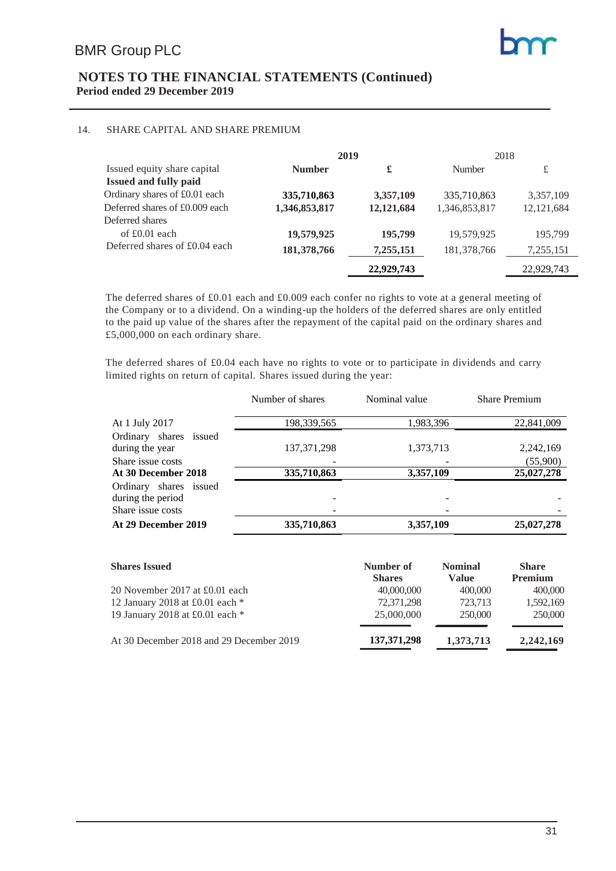

#### 14. SHARE CAPITAL AND SHARE PREMIUM

|                                | 2019          |            | 2018          |              |
|--------------------------------|---------------|------------|---------------|--------------|
| Issued equity share capital    | <b>Number</b> | £          | Number        | £            |
| Issued and fully paid          |               |            |               |              |
| Ordinary shares of £0.01 each  | 335,710,863   | 3,357,109  | 335,710,863   | 3,357,109    |
| Deferred shares of £0.009 each | 1,346,853,817 | 12,121,684 | 1,346,853,817 | 12, 121, 684 |
| Deferred shares                |               |            |               |              |
| of $£0.01$ each                | 19,579,925    | 195,799    | 19.579.925    | 195.799      |
| Deferred shares of £0.04 each  | 181,378,766   | 7,255,151  | 181, 378, 766 | 7,255,151    |
|                                |               | 22,929,743 |               | 22,929,743   |

The deferred shares of £0.01 each and £0.009 each confer no rights to vote at a general meeting of the Company or to a dividend. On a winding-up the holders of the deferred shares are only entitled to the paid up value of the shares after the repayment of the capital paid on the ordinary shares and £5,000,000 on each ordinary share.

The deferred shares of £0.04 each have no rights to vote or to participate in dividends and carry limited rights on return of capital. Shares issued during the year:

|                                             | Number of shares | Nominal value | <b>Share Premium</b> |
|---------------------------------------------|------------------|---------------|----------------------|
| At 1 July 2017                              | 198,339,565      | 1,983,396     | 22,841,009           |
| Ordinary shares issued<br>during the year   | 137, 371, 298    | 1,373,713     | 2,242,169            |
| Share issue costs                           |                  |               | (55,900)             |
| At 30 December 2018                         | 335,710,863      | 3,357,109     | 25,027,278           |
| Ordinary shares issued<br>during the period |                  |               |                      |
| Share issue costs                           |                  |               |                      |
| At 29 December 2019                         | 335,710,863      | 3,357,109     | 25,027,278           |

| <b>Shares Issued</b>                     | Number of<br><b>Shares</b> | <b>Nominal</b><br><b>Value</b> | <b>Share</b><br><b>Premium</b> |
|------------------------------------------|----------------------------|--------------------------------|--------------------------------|
| 20 November 2017 at £0.01 each           | 40,000,000                 | 400,000                        | 400,000                        |
| 12 January 2018 at £0.01 each $*$        | 72,371,298                 | 723.713                        | 1,592,169                      |
| 19 January 2018 at £0.01 each *          | 25,000,000                 | 250,000                        | 250,000                        |
| At 30 December 2018 and 29 December 2019 | 137, 371, 298              | 1,373,713                      | 2,242,169                      |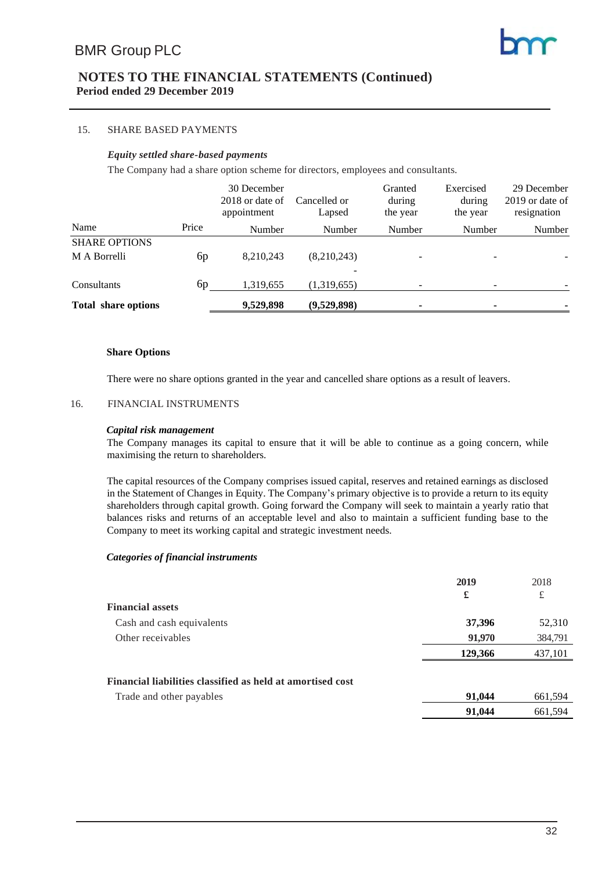#### 15. SHARE BASED PAYMENTS

#### *Equity settled share-based payments*

The Company had a share option scheme for directors, employees and consultants.

|                            |       | 30 December<br>2018 or date of<br>appointment | Cancelled or<br>Lapsed | Granted<br>during<br>the year | Exercised<br>during<br>the year | 29 December<br>2019 or date of<br>resignation |
|----------------------------|-------|-----------------------------------------------|------------------------|-------------------------------|---------------------------------|-----------------------------------------------|
| Name                       | Price | Number                                        | Number                 | Number                        | Number                          | Number                                        |
| <b>SHARE OPTIONS</b>       |       |                                               |                        |                               |                                 |                                               |
| M A Borrelli               | 6p    | 8,210,243                                     | (8,210,243)            | $\overline{\phantom{0}}$      | ۰                               |                                               |
| Consultants                | 6p    | 1,319,655                                     | (1,319,655)            | $\overline{\phantom{0}}$      |                                 |                                               |
| <b>Total share options</b> |       | 9,529,898                                     | (9,529,898)            | ۰                             |                                 |                                               |

#### **Share Options**

There were no share options granted in the year and cancelled share options as a result of leavers.

#### 16. FINANCIAL INSTRUMENTS

#### *Capital risk management*

The Company manages its capital to ensure that it will be able to continue as a going concern, while maximising the return to shareholders.

The capital resources of the Company comprises issued capital, reserves and retained earnings as disclosed in the Statement of Changes in Equity. The Company's primary objective is to provide a return to its equity shareholders through capital growth. Going forward the Company will seek to maintain a yearly ratio that balances risks and returns of an acceptable level and also to maintain a sufficient funding base to the Company to meet its working capital and strategic investment needs.

#### *Categories of financial instruments*

|                                                            | 2019    | 2018    |
|------------------------------------------------------------|---------|---------|
|                                                            | £       | £       |
| <b>Financial assets</b>                                    |         |         |
| Cash and cash equivalents                                  | 37,396  | 52,310  |
| Other receivables                                          | 91,970  | 384,791 |
|                                                            | 129,366 | 437,101 |
| Financial liabilities classified as held at amortised cost |         |         |
| Trade and other payables                                   | 91,044  | 661,594 |
|                                                            | 91,044  | 661,594 |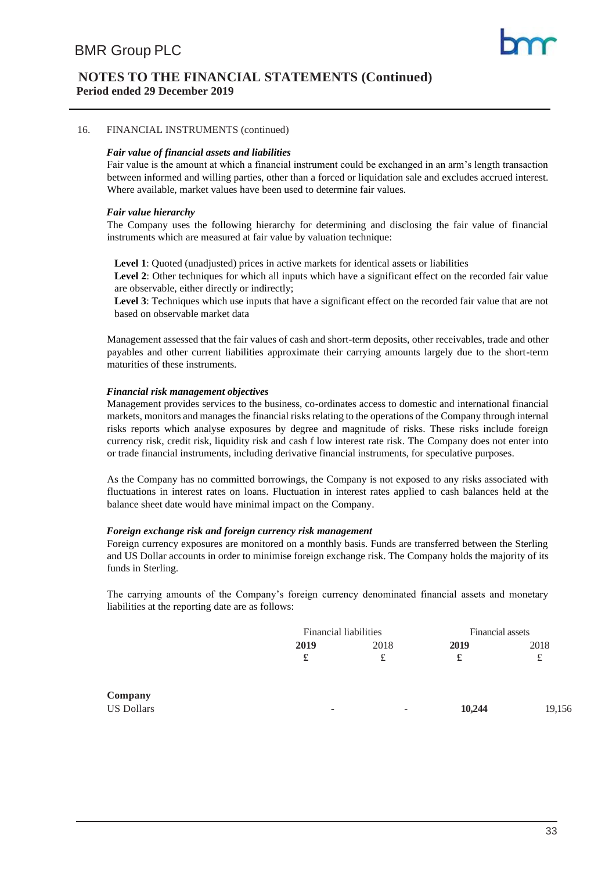#### 16. FINANCIAL INSTRUMENTS (continued)

#### *Fair value of financial assets and liabilities*

Fair value is the amount at which a financial instrument could be exchanged in an arm's length transaction between informed and willing parties, other than a forced or liquidation sale and excludes accrued interest. Where available, market values have been used to determine fair values.

#### *Fair value hierarchy*

The Company uses the following hierarchy for determining and disclosing the fair value of financial instruments which are measured at fair value by valuation technique:

**Level 1**: Quoted (unadjusted) prices in active markets for identical assets or liabilities

Level 2: Other techniques for which all inputs which have a significant effect on the recorded fair value are observable, either directly or indirectly;

**Level 3**: Techniques which use inputs that have a significant effect on the recorded fair value that are not based on observable market data

Management assessed that the fair values of cash and short-term deposits, other receivables, trade and other payables and other current liabilities approximate their carrying amounts largely due to the short-term maturities of these instruments.

#### *Financial risk management objectives*

Management provides services to the business, co-ordinates access to domestic and international financial markets, monitors and manages the financial risks relating to the operations of the Company through internal risks reports which analyse exposures by degree and magnitude of risks. These risks include foreign currency risk, credit risk, liquidity risk and cash f low interest rate risk. The Company does not enter into or trade financial instruments, including derivative financial instruments, for speculative purposes.

As the Company has no committed borrowings, the Company is not exposed to any risks associated with fluctuations in interest rates on loans. Fluctuation in interest rates applied to cash balances held at the balance sheet date would have minimal impact on the Company.

#### *Foreign exchange risk and foreign currency risk management*

Foreign currency exposures are monitored on a monthly basis. Funds are transferred between the Sterling and US Dollar accounts in order to minimise foreign exchange risk. The Company holds the majority of its funds in Sterling.

The carrying amounts of the Company's foreign currency denominated financial assets and monetary liabilities at the reporting date are as follows:

|            |                          | <b>Financial liabilities</b> |        | Financial assets |
|------------|--------------------------|------------------------------|--------|------------------|
|            | 2019                     | 2018                         | 2019   | 2018             |
|            | £                        | £                            | £      | £                |
| Company    |                          |                              |        |                  |
| US Dollars | $\overline{\phantom{a}}$ | -                            | 10,244 | 19,156           |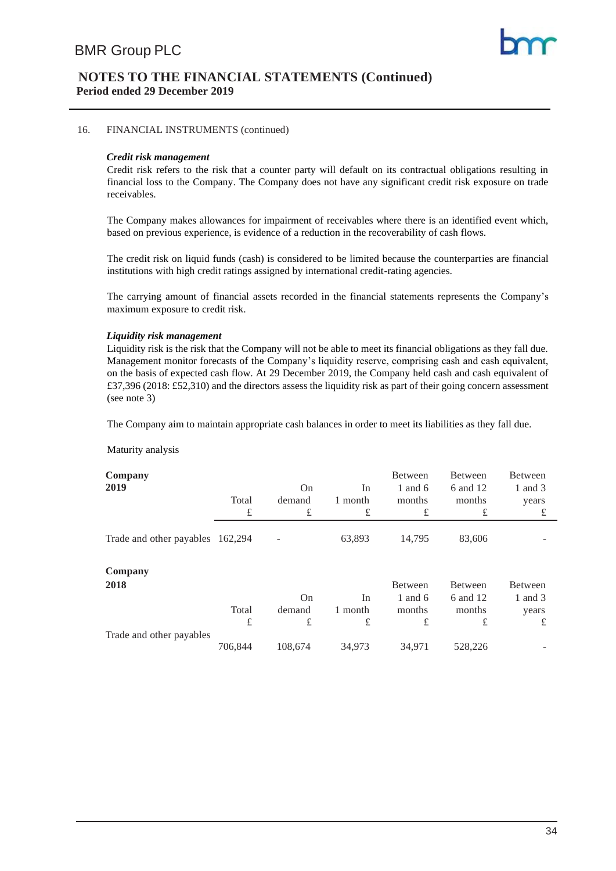#### 16. FINANCIAL INSTRUMENTS (continued)

#### *Credit risk management*

Credit risk refers to the risk that a counter party will default on its contractual obligations resulting in financial loss to the Company. The Company does not have any significant credit risk exposure on trade receivables.

The Company makes allowances for impairment of receivables where there is an identified event which, based on previous experience, is evidence of a reduction in the recoverability of cash flows.

The credit risk on liquid funds (cash) is considered to be limited because the counterparties are financial institutions with high credit ratings assigned by international credit-rating agencies.

The carrying amount of financial assets recorded in the financial statements represents the Company's maximum exposure to credit risk.

#### *Liquidity risk management*

Liquidity risk is the risk that the Company will not be able to meet its financial obligations as they fall due. Management monitor forecasts of the Company's liquidity reserve, comprising cash and cash equivalent, on the basis of expected cash flow. At 29 December 2019, the Company held cash and cash equivalent of £37,396 (2018: £52,310) and the directors assess the liquidity risk as part of their going concern assessment (see note 3)

The Company aim to maintain appropriate cash balances in order to meet its liabilities as they fall due.

Maturity analysis

| Company                          |         |           |         | Between   | Between  | Between |
|----------------------------------|---------|-----------|---------|-----------|----------|---------|
| 2019                             |         | <b>On</b> | In      | 1 and $6$ | 6 and 12 | 1 and 3 |
|                                  | Total   | demand    | 1 month | months    | months   | years   |
|                                  | £       | £         | £       | £         | £        | £       |
| Trade and other payables 162,294 |         |           | 63,893  | 14,795    | 83,606   |         |
| Company                          |         |           |         |           |          |         |
| 2018                             |         |           |         | Between   | Between  | Between |
|                                  |         | <b>On</b> | In      | 1 and $6$ | 6 and 12 | 1 and 3 |
|                                  | Total   | demand    | 1 month | months    | months   | years   |
|                                  | £       | £         | £       | £         | £        | £       |
| Trade and other payables         |         |           |         |           |          |         |
|                                  | 706.844 | 108,674   | 34,973  | 34,971    | 528,226  |         |